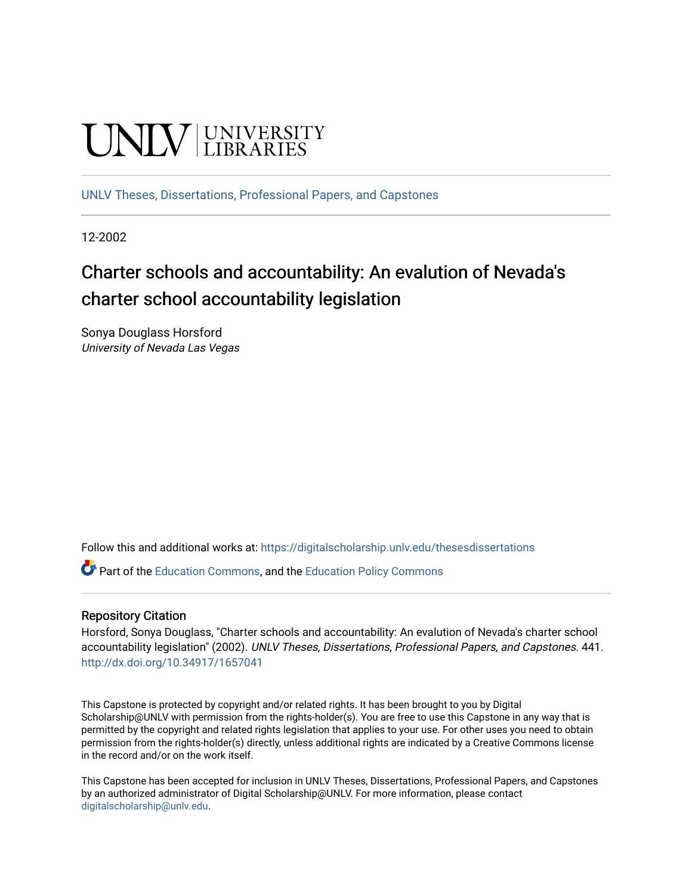# **UNIVERSITY**

[UNLV Theses, Dissertations, Professional Papers, and Capstones](https://digitalscholarship.unlv.edu/thesesdissertations)

12-2002

# Charter schools and accountability: An evalution of Nevada's charter school accountability legislation

Sonya Douglass Horsford University of Nevada Las Vegas

Follow this and additional works at: [https://digitalscholarship.unlv.edu/thesesdissertations](https://digitalscholarship.unlv.edu/thesesdissertations?utm_source=digitalscholarship.unlv.edu%2Fthesesdissertations%2F441&utm_medium=PDF&utm_campaign=PDFCoverPages)

Part of the [Education Commons](http://network.bepress.com/hgg/discipline/784?utm_source=digitalscholarship.unlv.edu%2Fthesesdissertations%2F441&utm_medium=PDF&utm_campaign=PDFCoverPages), and the [Education Policy Commons](http://network.bepress.com/hgg/discipline/1026?utm_source=digitalscholarship.unlv.edu%2Fthesesdissertations%2F441&utm_medium=PDF&utm_campaign=PDFCoverPages)

#### Repository Citation

Horsford, Sonya Douglass, "Charter schools and accountability: An evalution of Nevada's charter school accountability legislation" (2002). UNLV Theses, Dissertations, Professional Papers, and Capstones. 441. <http://dx.doi.org/10.34917/1657041>

This Capstone is protected by copyright and/or related rights. It has been brought to you by Digital Scholarship@UNLV with permission from the rights-holder(s). You are free to use this Capstone in any way that is permitted by the copyright and related rights legislation that applies to your use. For other uses you need to obtain permission from the rights-holder(s) directly, unless additional rights are indicated by a Creative Commons license in the record and/or on the work itself.

This Capstone has been accepted for inclusion in UNLV Theses, Dissertations, Professional Papers, and Capstones by an authorized administrator of Digital Scholarship@UNLV. For more information, please contact [digitalscholarship@unlv.edu](mailto:digitalscholarship@unlv.edu).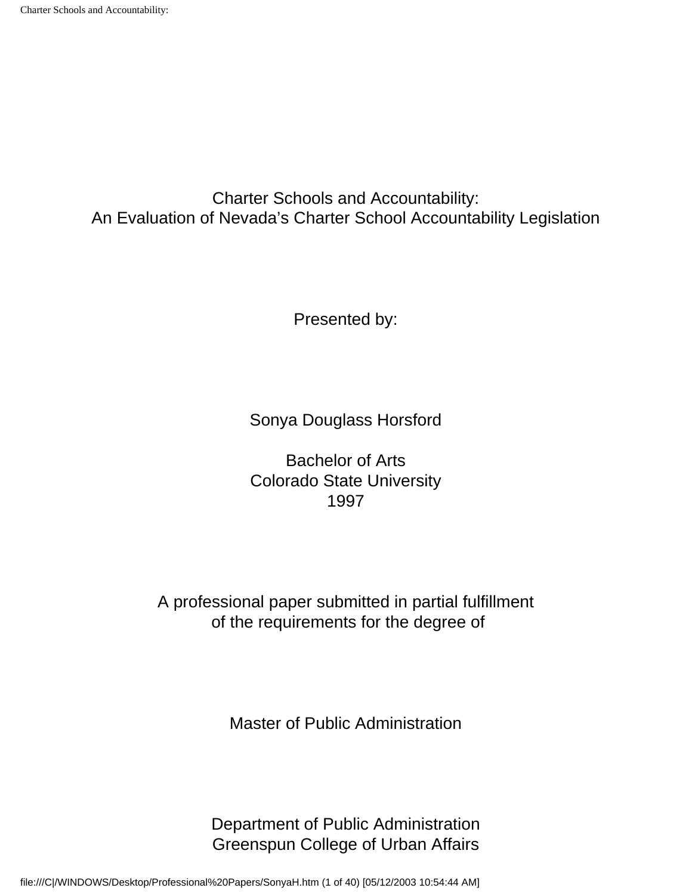Charter Schools and Accountability: An Evaluation of Nevada's Charter School Accountability Legislation

Presented by:

Sonya Douglass Horsford

Bachelor of Arts Colorado State University 1997

A professional paper submitted in partial fulfillment of the requirements for the degree of

Master of Public Administration

Department of Public Administration Greenspun College of Urban Affairs

file:///C|/WINDOWS/Desktop/Professional%20Papers/SonyaH.htm (1 of 40) [05/12/2003 10:54:44 AM]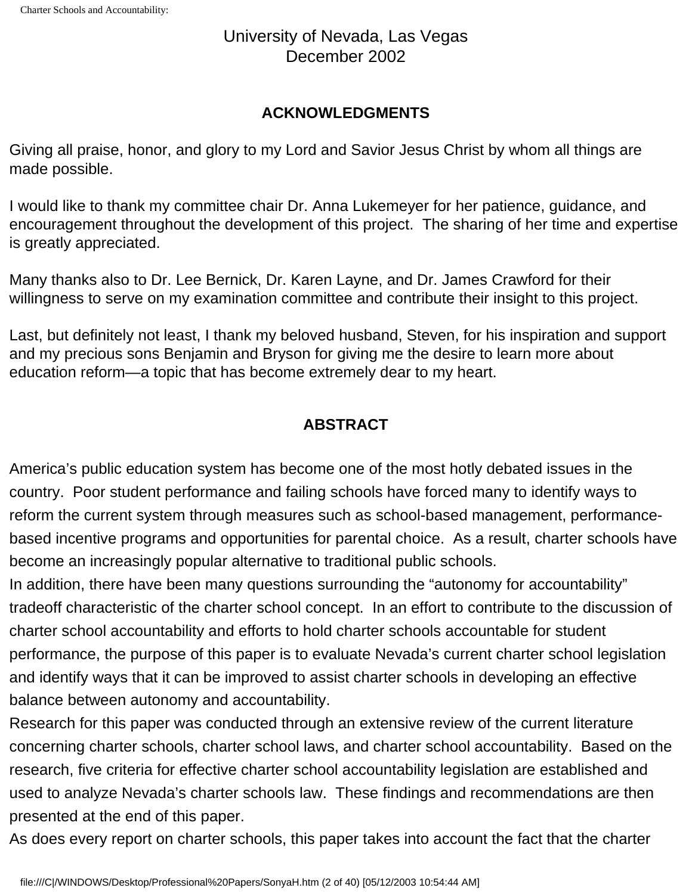# University of Nevada, Las Vegas December 2002

# **ACKNOWLEDGMENTS**

Giving all praise, honor, and glory to my Lord and Savior Jesus Christ by whom all things are made possible.

I would like to thank my committee chair Dr. Anna Lukemeyer for her patience, guidance, and encouragement throughout the development of this project. The sharing of her time and expertise is greatly appreciated.

Many thanks also to Dr. Lee Bernick, Dr. Karen Layne, and Dr. James Crawford for their willingness to serve on my examination committee and contribute their insight to this project.

Last, but definitely not least, I thank my beloved husband, Steven, for his inspiration and support and my precious sons Benjamin and Bryson for giving me the desire to learn more about education reform—a topic that has become extremely dear to my heart.

# **ABSTRACT**

America's public education system has become one of the most hotly debated issues in the country. Poor student performance and failing schools have forced many to identify ways to reform the current system through measures such as school-based management, performancebased incentive programs and opportunities for parental choice. As a result, charter schools have become an increasingly popular alternative to traditional public schools.

In addition, there have been many questions surrounding the "autonomy for accountability" tradeoff characteristic of the charter school concept. In an effort to contribute to the discussion of charter school accountability and efforts to hold charter schools accountable for student performance, the purpose of this paper is to evaluate Nevada's current charter school legislation and identify ways that it can be improved to assist charter schools in developing an effective balance between autonomy and accountability.

Research for this paper was conducted through an extensive review of the current literature concerning charter schools, charter school laws, and charter school accountability. Based on the research, five criteria for effective charter school accountability legislation are established and used to analyze Nevada's charter schools law. These findings and recommendations are then presented at the end of this paper.

As does every report on charter schools, this paper takes into account the fact that the charter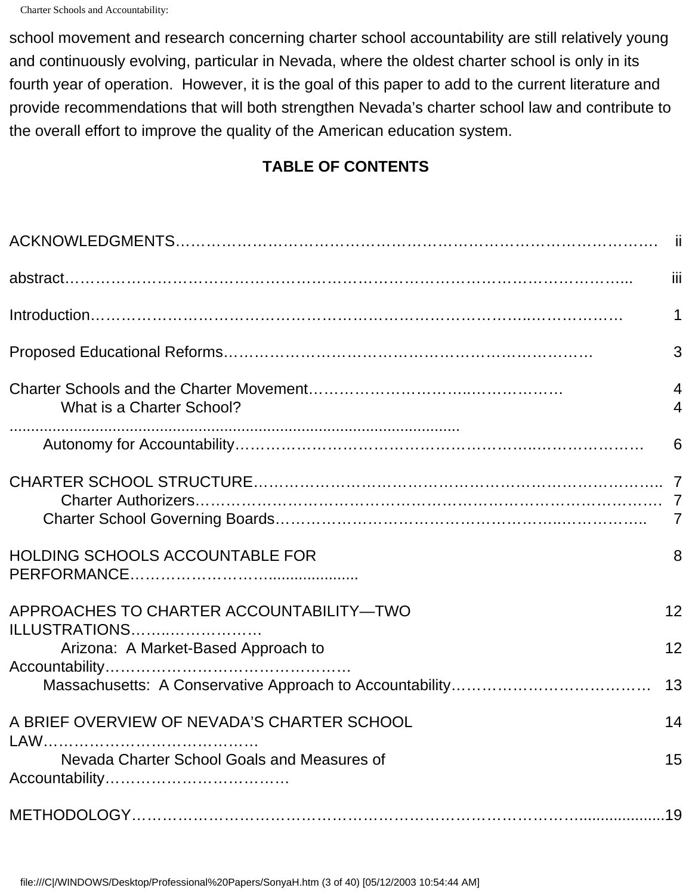school movement and research concerning charter school accountability are still relatively young and continuously evolving, particular in Nevada, where the oldest charter school is only in its fourth year of operation. However, it is the goal of this paper to add to the current literature and provide recommendations that will both strengthen Nevada's charter school law and contribute to the overall effort to improve the quality of the American education system.

# **TABLE OF CONTENTS**

|                                                           | iii                 |
|-----------------------------------------------------------|---------------------|
|                                                           | 1                   |
|                                                           | 3                   |
| What is a Charter School?                                 | $\overline{4}$<br>4 |
|                                                           | 6                   |
|                                                           | $\overline{7}$      |
| HOLDING SCHOOLS ACCOUNTABLE FOR                           | 8                   |
| APPROACHES TO CHARTER ACCOUNTABILITY-TWO<br>ILLUSTRATIONS | 12<br>12            |
| Arizona: A Market-Based Approach to                       | 13                  |
| A BRIEF OVERVIEW OF NEVADA'S CHARTER SCHOOL               | 14                  |
| Nevada Charter School Goals and Measures of               | 15                  |
|                                                           |                     |

file:///C|/WINDOWS/Desktop/Professional%20Papers/SonyaH.htm (3 of 40) [05/12/2003 10:54:44 AM]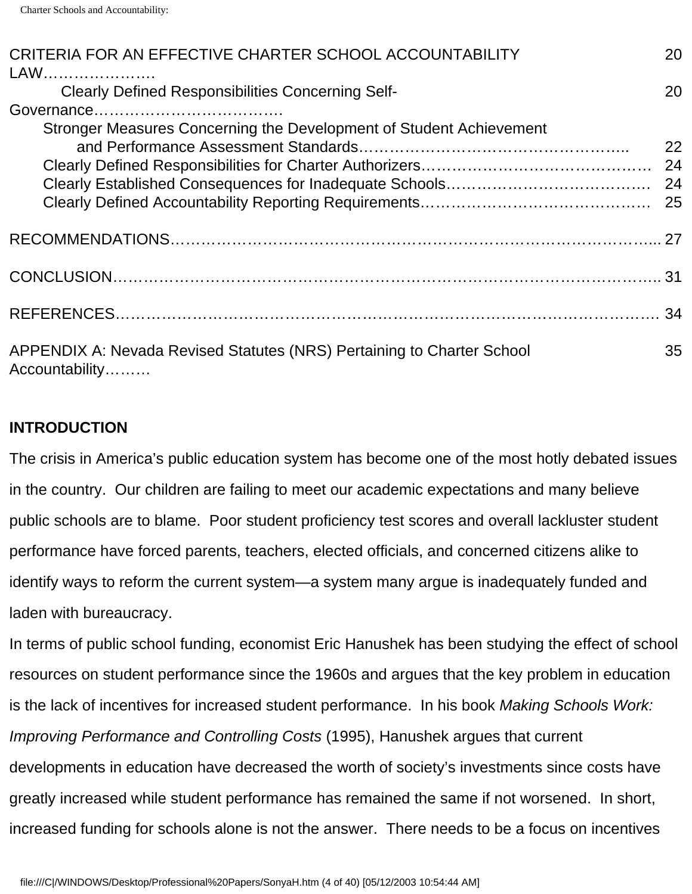| CRITERIA FOR AN EFFECTIVE CHARTER SCHOOL ACCOUNTABILITY<br>LAW                           | 20 |
|------------------------------------------------------------------------------------------|----|
| <b>Clearly Defined Responsibilities Concerning Self-</b>                                 | 20 |
|                                                                                          |    |
| Stronger Measures Concerning the Development of Student Achievement                      | 22 |
|                                                                                          |    |
|                                                                                          |    |
|                                                                                          |    |
| APPENDIX A: Nevada Revised Statutes (NRS) Pertaining to Charter School<br>Accountability | 35 |

# **INTRODUCTION**

The crisis in America's public education system has become one of the most hotly debated issues in the country. Our children are failing to meet our academic expectations and many believe public schools are to blame. Poor student proficiency test scores and overall lackluster student performance have forced parents, teachers, elected officials, and concerned citizens alike to identify ways to reform the current system—a system many argue is inadequately funded and laden with bureaucracy.

In terms of public school funding, economist Eric Hanushek has been studying the effect of school resources on student performance since the 1960s and argues that the key problem in education is the lack of incentives for increased student performance. In his book *Making Schools Work: Improving Performance and Controlling Costs* (1995), Hanushek argues that current developments in education have decreased the worth of society's investments since costs have greatly increased while student performance has remained the same if not worsened. In short, increased funding for schools alone is not the answer. There needs to be a focus on incentives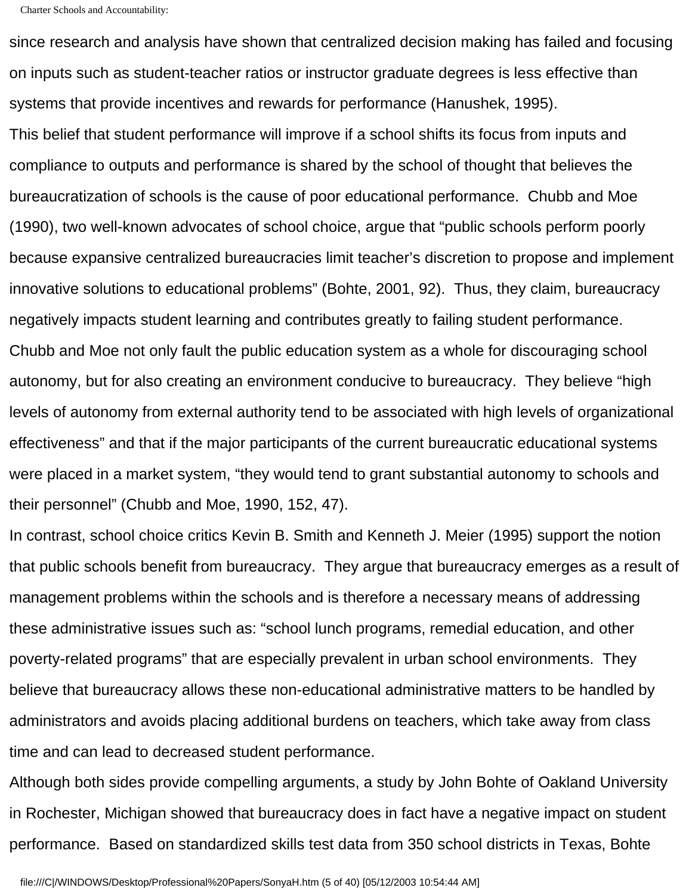since research and analysis have shown that centralized decision making has failed and focusing on inputs such as student-teacher ratios or instructor graduate degrees is less effective than systems that provide incentives and rewards for performance (Hanushek, 1995).

This belief that student performance will improve if a school shifts its focus from inputs and compliance to outputs and performance is shared by the school of thought that believes the bureaucratization of schools is the cause of poor educational performance. Chubb and Moe (1990), two well-known advocates of school choice, argue that "public schools perform poorly because expansive centralized bureaucracies limit teacher's discretion to propose and implement innovative solutions to educational problems" (Bohte, 2001, 92). Thus, they claim, bureaucracy negatively impacts student learning and contributes greatly to failing student performance. Chubb and Moe not only fault the public education system as a whole for discouraging school autonomy, but for also creating an environment conducive to bureaucracy. They believe "high levels of autonomy from external authority tend to be associated with high levels of organizational effectiveness" and that if the major participants of the current bureaucratic educational systems were placed in a market system, "they would tend to grant substantial autonomy to schools and their personnel" (Chubb and Moe, 1990, 152, 47).

In contrast, school choice critics Kevin B. Smith and Kenneth J. Meier (1995) support the notion that public schools benefit from bureaucracy. They argue that bureaucracy emerges as a result of management problems within the schools and is therefore a necessary means of addressing these administrative issues such as: "school lunch programs, remedial education, and other poverty-related programs" that are especially prevalent in urban school environments. They believe that bureaucracy allows these non-educational administrative matters to be handled by administrators and avoids placing additional burdens on teachers, which take away from class time and can lead to decreased student performance.

Although both sides provide compelling arguments, a study by John Bohte of Oakland University in Rochester, Michigan showed that bureaucracy does in fact have a negative impact on student performance. Based on standardized skills test data from 350 school districts in Texas, Bohte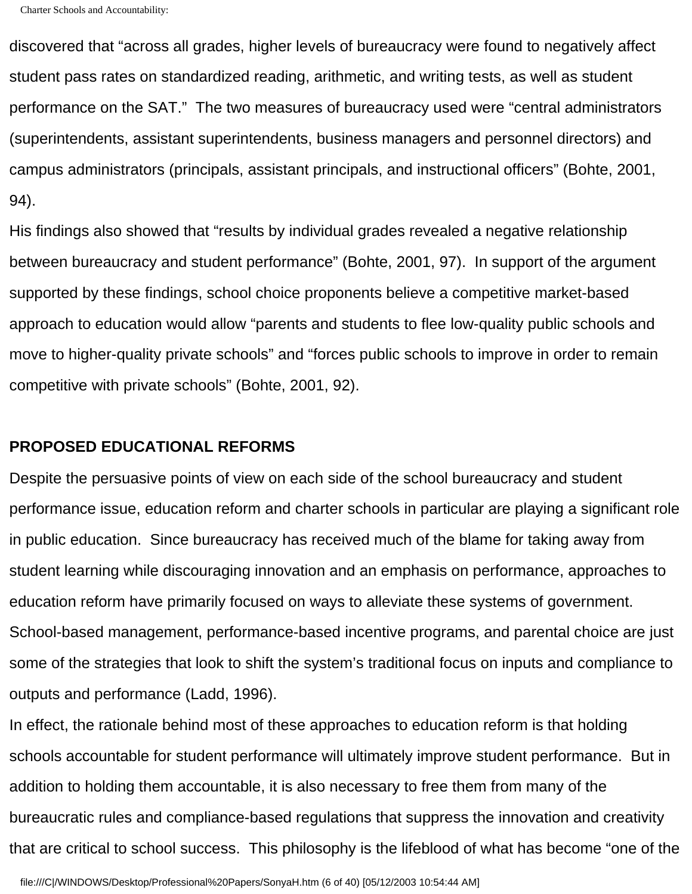discovered that "across all grades, higher levels of bureaucracy were found to negatively affect student pass rates on standardized reading, arithmetic, and writing tests, as well as student performance on the SAT." The two measures of bureaucracy used were "central administrators (superintendents, assistant superintendents, business managers and personnel directors) and campus administrators (principals, assistant principals, and instructional officers" (Bohte, 2001, 94).

His findings also showed that "results by individual grades revealed a negative relationship between bureaucracy and student performance" (Bohte, 2001, 97). In support of the argument supported by these findings, school choice proponents believe a competitive market-based approach to education would allow "parents and students to flee low-quality public schools and move to higher-quality private schools" and "forces public schools to improve in order to remain competitive with private schools" (Bohte, 2001, 92).

#### **PROPOSED EDUCATIONAL REFORMS**

Despite the persuasive points of view on each side of the school bureaucracy and student performance issue, education reform and charter schools in particular are playing a significant role in public education. Since bureaucracy has received much of the blame for taking away from student learning while discouraging innovation and an emphasis on performance, approaches to education reform have primarily focused on ways to alleviate these systems of government. School-based management, performance-based incentive programs, and parental choice are just some of the strategies that look to shift the system's traditional focus on inputs and compliance to outputs and performance (Ladd, 1996).

In effect, the rationale behind most of these approaches to education reform is that holding schools accountable for student performance will ultimately improve student performance. But in addition to holding them accountable, it is also necessary to free them from many of the bureaucratic rules and compliance-based regulations that suppress the innovation and creativity that are critical to school success. This philosophy is the lifeblood of what has become "one of the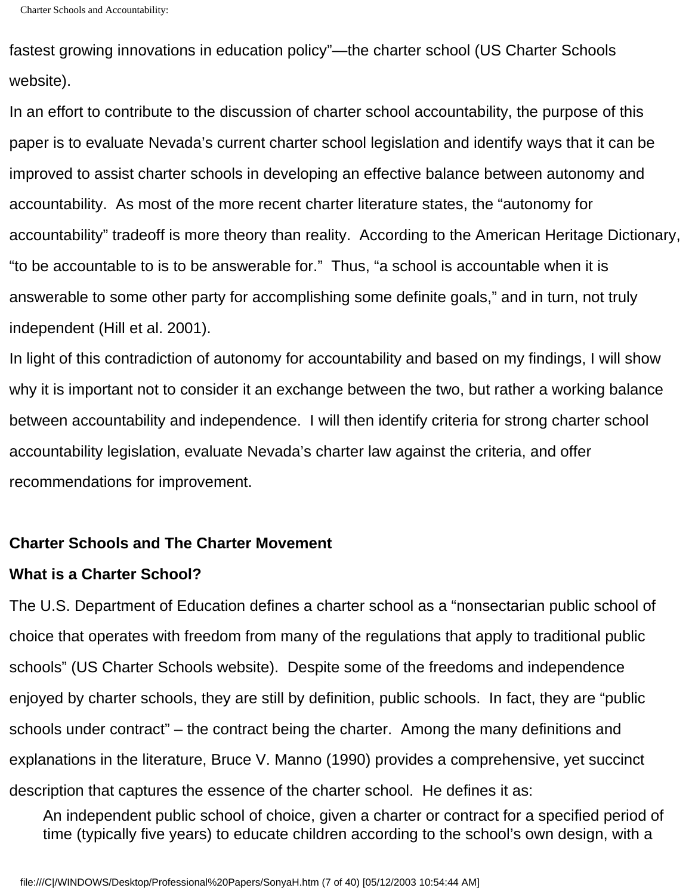```
Charter Schools and Accountability:
```
fastest growing innovations in education policy"—the charter school (US Charter Schools website).

In an effort to contribute to the discussion of charter school accountability, the purpose of this paper is to evaluate Nevada's current charter school legislation and identify ways that it can be improved to assist charter schools in developing an effective balance between autonomy and accountability. As most of the more recent charter literature states, the "autonomy for accountability" tradeoff is more theory than reality. According to the American Heritage Dictionary, "to be accountable to is to be answerable for." Thus, "a school is accountable when it is answerable to some other party for accomplishing some definite goals," and in turn, not truly independent (Hill et al. 2001).

In light of this contradiction of autonomy for accountability and based on my findings, I will show why it is important not to consider it an exchange between the two, but rather a working balance between accountability and independence. I will then identify criteria for strong charter school accountability legislation, evaluate Nevada's charter law against the criteria, and offer recommendations for improvement.

#### **Charter Schools and The Charter Movement**

#### **What is a Charter School?**

The U.S. Department of Education defines a charter school as a "nonsectarian public school of choice that operates with freedom from many of the regulations that apply to traditional public schools" (US Charter Schools website). Despite some of the freedoms and independence enjoyed by charter schools, they are still by definition, public schools. In fact, they are "public schools under contract" – the contract being the charter. Among the many definitions and explanations in the literature, Bruce V. Manno (1990) provides a comprehensive, yet succinct description that captures the essence of the charter school. He defines it as:

An independent public school of choice, given a charter or contract for a specified period of time (typically five years) to educate children according to the school's own design, with a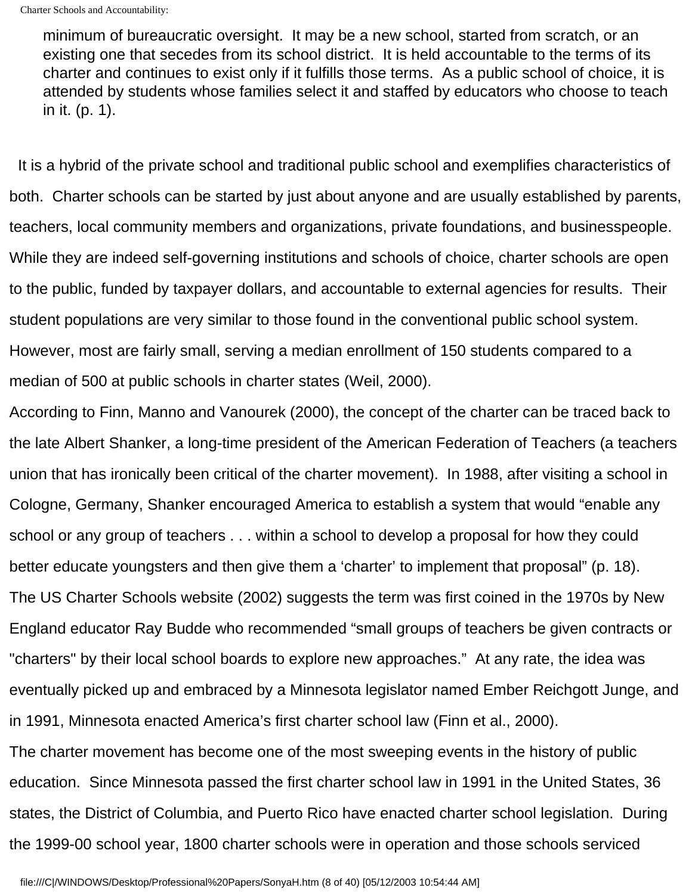minimum of bureaucratic oversight. It may be a new school, started from scratch, or an existing one that secedes from its school district. It is held accountable to the terms of its charter and continues to exist only if it fulfills those terms. As a public school of choice, it is attended by students whose families select it and staffed by educators who choose to teach in it. (p. 1).

 It is a hybrid of the private school and traditional public school and exemplifies characteristics of both. Charter schools can be started by just about anyone and are usually established by parents, teachers, local community members and organizations, private foundations, and businesspeople. While they are indeed self-governing institutions and schools of choice, charter schools are open to the public, funded by taxpayer dollars, and accountable to external agencies for results. Their student populations are very similar to those found in the conventional public school system. However, most are fairly small, serving a median enrollment of 150 students compared to a median of 500 at public schools in charter states (Weil, 2000).

According to Finn, Manno and Vanourek (2000), the concept of the charter can be traced back to the late Albert Shanker, a long-time president of the American Federation of Teachers (a teachers union that has ironically been critical of the charter movement). In 1988, after visiting a school in Cologne, Germany, Shanker encouraged America to establish a system that would "enable any school or any group of teachers . . . within a school to develop a proposal for how they could better educate youngsters and then give them a 'charter' to implement that proposal" (p. 18). The US Charter Schools website (2002) suggests the term was first coined in the 1970s by New England educator Ray Budde who recommended "small groups of teachers be given contracts or "charters" by their local school boards to explore new approaches." At any rate, the idea was eventually picked up and embraced by a Minnesota legislator named Ember Reichgott Junge, and in 1991, Minnesota enacted America's first charter school law (Finn et al., 2000).

The charter movement has become one of the most sweeping events in the history of public education. Since Minnesota passed the first charter school law in 1991 in the United States, 36 states, the District of Columbia, and Puerto Rico have enacted charter school legislation. During the 1999-00 school year, 1800 charter schools were in operation and those schools serviced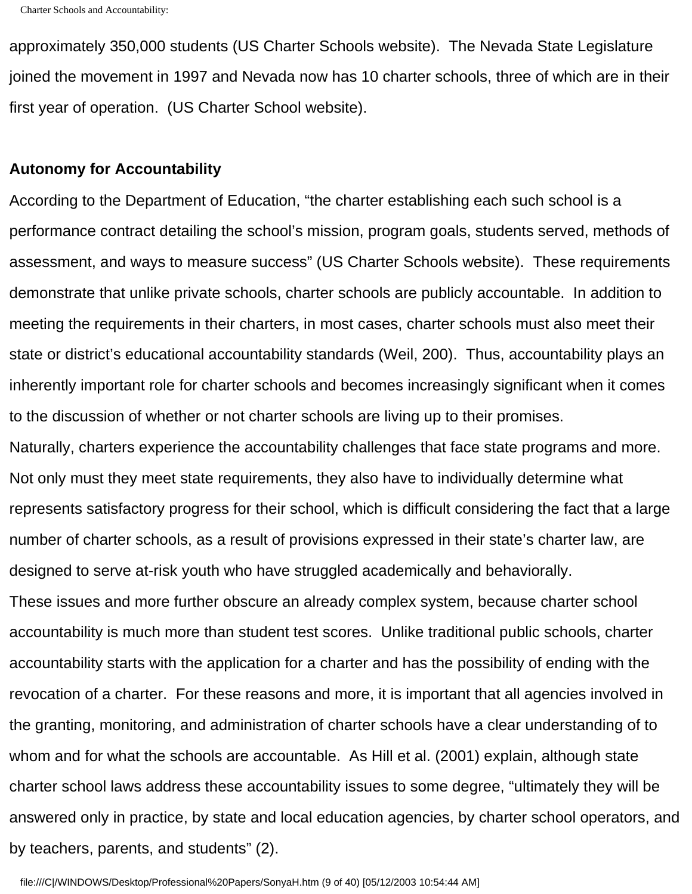approximately 350,000 students (US Charter Schools website). The Nevada State Legislature joined the movement in 1997 and Nevada now has 10 charter schools, three of which are in their first year of operation. (US Charter School website).

#### **Autonomy for Accountability**

According to the Department of Education, "the charter establishing each such school is a performance contract detailing the school's mission, program goals, students served, methods of assessment, and ways to measure success" (US Charter Schools website). These requirements demonstrate that unlike private schools, charter schools are publicly accountable. In addition to meeting the requirements in their charters, in most cases, charter schools must also meet their state or district's educational accountability standards (Weil, 200). Thus, accountability plays an inherently important role for charter schools and becomes increasingly significant when it comes to the discussion of whether or not charter schools are living up to their promises.

Naturally, charters experience the accountability challenges that face state programs and more. Not only must they meet state requirements, they also have to individually determine what represents satisfactory progress for their school, which is difficult considering the fact that a large number of charter schools, as a result of provisions expressed in their state's charter law, are designed to serve at-risk youth who have struggled academically and behaviorally.

These issues and more further obscure an already complex system, because charter school accountability is much more than student test scores. Unlike traditional public schools, charter accountability starts with the application for a charter and has the possibility of ending with the revocation of a charter. For these reasons and more, it is important that all agencies involved in the granting, monitoring, and administration of charter schools have a clear understanding of to whom and for what the schools are accountable. As Hill et al. (2001) explain, although state charter school laws address these accountability issues to some degree, "ultimately they will be answered only in practice, by state and local education agencies, by charter school operators, and by teachers, parents, and students" (2).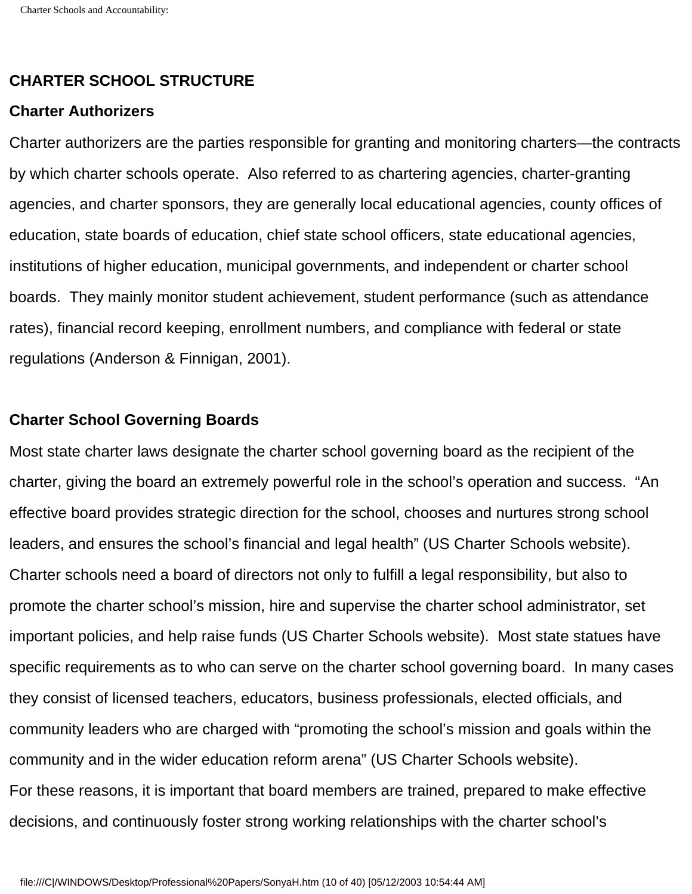#### **CHARTER SCHOOL STRUCTURE**

#### **Charter Authorizers**

Charter authorizers are the parties responsible for granting and monitoring charters—the contracts by which charter schools operate. Also referred to as chartering agencies, charter-granting agencies, and charter sponsors, they are generally local educational agencies, county offices of education, state boards of education, chief state school officers, state educational agencies, institutions of higher education, municipal governments, and independent or charter school boards. They mainly monitor student achievement, student performance (such as attendance rates), financial record keeping, enrollment numbers, and compliance with federal or state regulations (Anderson & Finnigan, 2001).

#### **Charter School Governing Boards**

Most state charter laws designate the charter school governing board as the recipient of the charter, giving the board an extremely powerful role in the school's operation and success. "An effective board provides strategic direction for the school, chooses and nurtures strong school leaders, and ensures the school's financial and legal health" (US Charter Schools website). Charter schools need a board of directors not only to fulfill a legal responsibility, but also to promote the charter school's mission, hire and supervise the charter school administrator, set important policies, and help raise funds (US Charter Schools website). Most state statues have specific requirements as to who can serve on the charter school governing board. In many cases they consist of licensed teachers, educators, business professionals, elected officials, and community leaders who are charged with "promoting the school's mission and goals within the community and in the wider education reform arena" (US Charter Schools website). For these reasons, it is important that board members are trained, prepared to make effective decisions, and continuously foster strong working relationships with the charter school's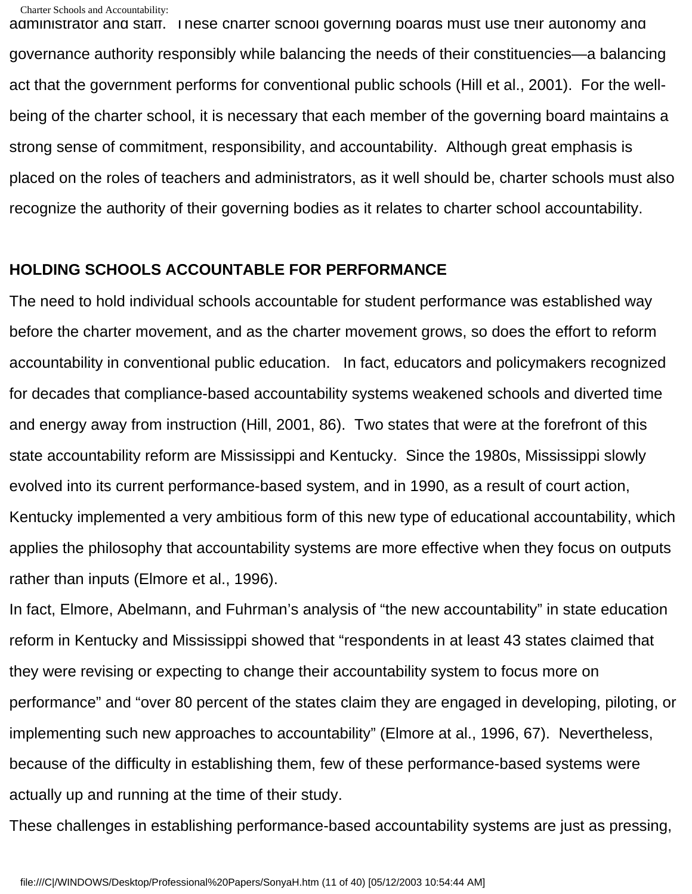administrator and staff. These charter school governing boards must use their autonomy and governance authority responsibly while balancing the needs of their constituencies—a balancing act that the government performs for conventional public schools (Hill et al., 2001). For the wellbeing of the charter school, it is necessary that each member of the governing board maintains a strong sense of commitment, responsibility, and accountability. Although great emphasis is placed on the roles of teachers and administrators, as it well should be, charter schools must also recognize the authority of their governing bodies as it relates to charter school accountability.

#### **HOLDING SCHOOLS ACCOUNTABLE FOR PERFORMANCE**

The need to hold individual schools accountable for student performance was established way before the charter movement, and as the charter movement grows, so does the effort to reform accountability in conventional public education. In fact, educators and policymakers recognized for decades that compliance-based accountability systems weakened schools and diverted time and energy away from instruction (Hill, 2001, 86). Two states that were at the forefront of this state accountability reform are Mississippi and Kentucky. Since the 1980s, Mississippi slowly evolved into its current performance-based system, and in 1990, as a result of court action, Kentucky implemented a very ambitious form of this new type of educational accountability, which applies the philosophy that accountability systems are more effective when they focus on outputs rather than inputs (Elmore et al., 1996).

In fact, Elmore, Abelmann, and Fuhrman's analysis of "the new accountability" in state education reform in Kentucky and Mississippi showed that "respondents in at least 43 states claimed that they were revising or expecting to change their accountability system to focus more on performance" and "over 80 percent of the states claim they are engaged in developing, piloting, or implementing such new approaches to accountability" (Elmore at al., 1996, 67). Nevertheless, because of the difficulty in establishing them, few of these performance-based systems were actually up and running at the time of their study.

These challenges in establishing performance-based accountability systems are just as pressing,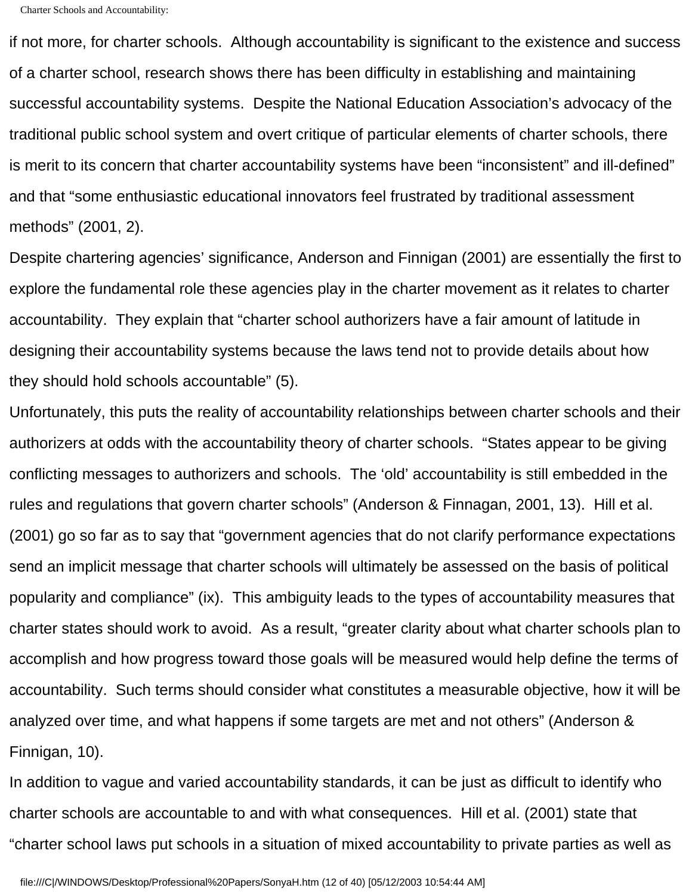if not more, for charter schools. Although accountability is significant to the existence and success of a charter school, research shows there has been difficulty in establishing and maintaining successful accountability systems. Despite the National Education Association's advocacy of the traditional public school system and overt critique of particular elements of charter schools, there is merit to its concern that charter accountability systems have been "inconsistent" and ill-defined" and that "some enthusiastic educational innovators feel frustrated by traditional assessment methods" (2001, 2).

Despite chartering agencies' significance, Anderson and Finnigan (2001) are essentially the first to explore the fundamental role these agencies play in the charter movement as it relates to charter accountability. They explain that "charter school authorizers have a fair amount of latitude in designing their accountability systems because the laws tend not to provide details about how they should hold schools accountable" (5).

Unfortunately, this puts the reality of accountability relationships between charter schools and their authorizers at odds with the accountability theory of charter schools. "States appear to be giving conflicting messages to authorizers and schools. The 'old' accountability is still embedded in the rules and regulations that govern charter schools" (Anderson & Finnagan, 2001, 13). Hill et al. (2001) go so far as to say that "government agencies that do not clarify performance expectations send an implicit message that charter schools will ultimately be assessed on the basis of political popularity and compliance" (ix). This ambiguity leads to the types of accountability measures that charter states should work to avoid. As a result, "greater clarity about what charter schools plan to accomplish and how progress toward those goals will be measured would help define the terms of accountability. Such terms should consider what constitutes a measurable objective, how it will be analyzed over time, and what happens if some targets are met and not others" (Anderson & Finnigan, 10).

In addition to vague and varied accountability standards, it can be just as difficult to identify who charter schools are accountable to and with what consequences. Hill et al. (2001) state that "charter school laws put schools in a situation of mixed accountability to private parties as well as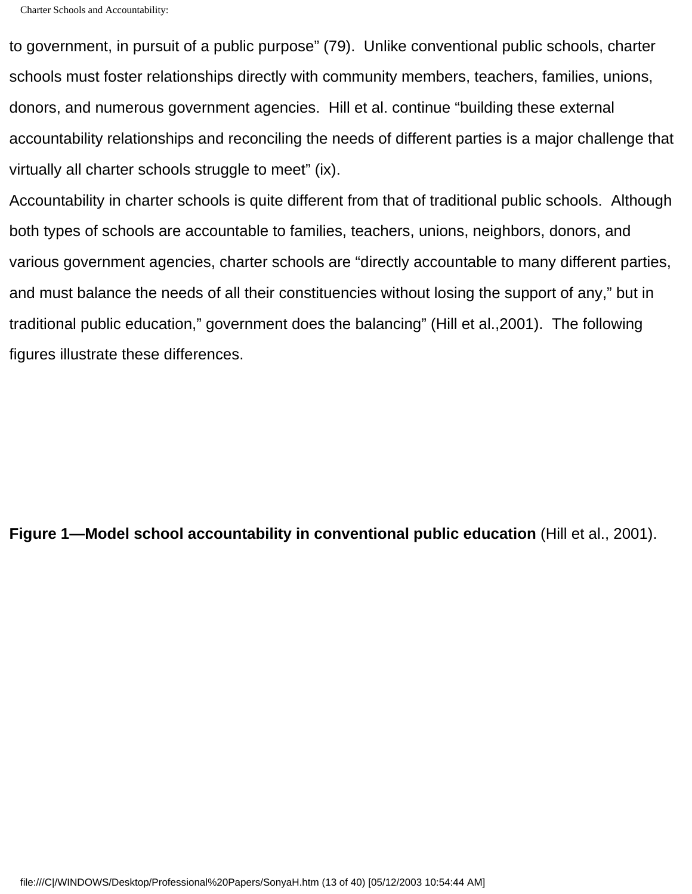to government, in pursuit of a public purpose" (79). Unlike conventional public schools, charter schools must foster relationships directly with community members, teachers, families, unions, donors, and numerous government agencies. Hill et al. continue "building these external accountability relationships and reconciling the needs of different parties is a major challenge that virtually all charter schools struggle to meet" (ix).

Accountability in charter schools is quite different from that of traditional public schools. Although both types of schools are accountable to families, teachers, unions, neighbors, donors, and various government agencies, charter schools are "directly accountable to many different parties, and must balance the needs of all their constituencies without losing the support of any," but in traditional public education," government does the balancing" (Hill et al.,2001). The following figures illustrate these differences.

**Figure 1—Model school accountability in conventional public education** (Hill et al., 2001).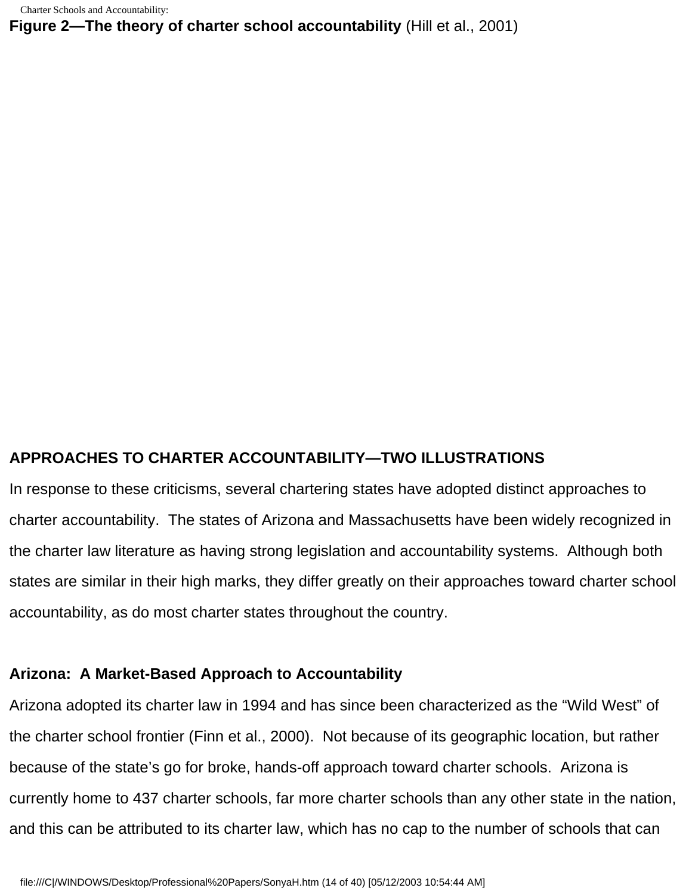**Figure 2—The theory of charter school accountability** (Hill et al., 2001)

#### **APPROACHES TO CHARTER ACCOUNTABILITY—TWO ILLUSTRATIONS**

In response to these criticisms, several chartering states have adopted distinct approaches to charter accountability. The states of Arizona and Massachusetts have been widely recognized in the charter law literature as having strong legislation and accountability systems. Although both states are similar in their high marks, they differ greatly on their approaches toward charter school accountability, as do most charter states throughout the country.

#### **Arizona: A Market-Based Approach to Accountability**

Arizona adopted its charter law in 1994 and has since been characterized as the "Wild West" of the charter school frontier (Finn et al., 2000). Not because of its geographic location, but rather because of the state's go for broke, hands-off approach toward charter schools. Arizona is currently home to 437 charter schools, far more charter schools than any other state in the nation, and this can be attributed to its charter law, which has no cap to the number of schools that can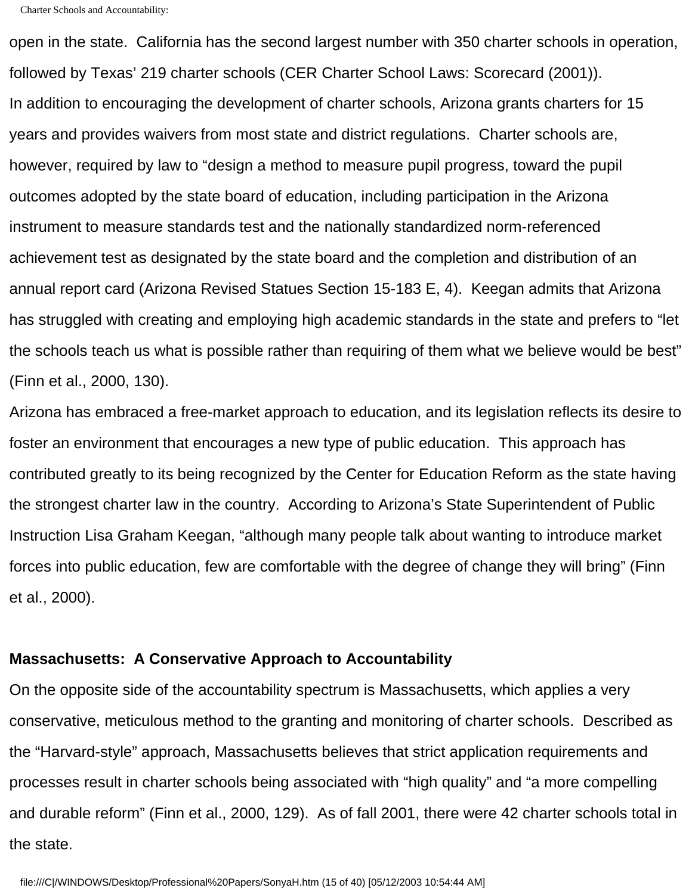open in the state. California has the second largest number with 350 charter schools in operation, followed by Texas' 219 charter schools (CER Charter School Laws: Scorecard (2001)). In addition to encouraging the development of charter schools, Arizona grants charters for 15 years and provides waivers from most state and district regulations. Charter schools are, however, required by law to "design a method to measure pupil progress, toward the pupil outcomes adopted by the state board of education, including participation in the Arizona instrument to measure standards test and the nationally standardized norm-referenced achievement test as designated by the state board and the completion and distribution of an annual report card (Arizona Revised Statues Section 15-183 E, 4). Keegan admits that Arizona has struggled with creating and employing high academic standards in the state and prefers to "let the schools teach us what is possible rather than requiring of them what we believe would be best" (Finn et al., 2000, 130).

Arizona has embraced a free-market approach to education, and its legislation reflects its desire to foster an environment that encourages a new type of public education. This approach has contributed greatly to its being recognized by the Center for Education Reform as the state having the strongest charter law in the country. According to Arizona's State Superintendent of Public Instruction Lisa Graham Keegan, "although many people talk about wanting to introduce market forces into public education, few are comfortable with the degree of change they will bring" (Finn et al., 2000).

#### **Massachusetts: A Conservative Approach to Accountability**

On the opposite side of the accountability spectrum is Massachusetts, which applies a very conservative, meticulous method to the granting and monitoring of charter schools. Described as the "Harvard-style" approach, Massachusetts believes that strict application requirements and processes result in charter schools being associated with "high quality" and "a more compelling and durable reform" (Finn et al., 2000, 129). As of fall 2001, there were 42 charter schools total in the state.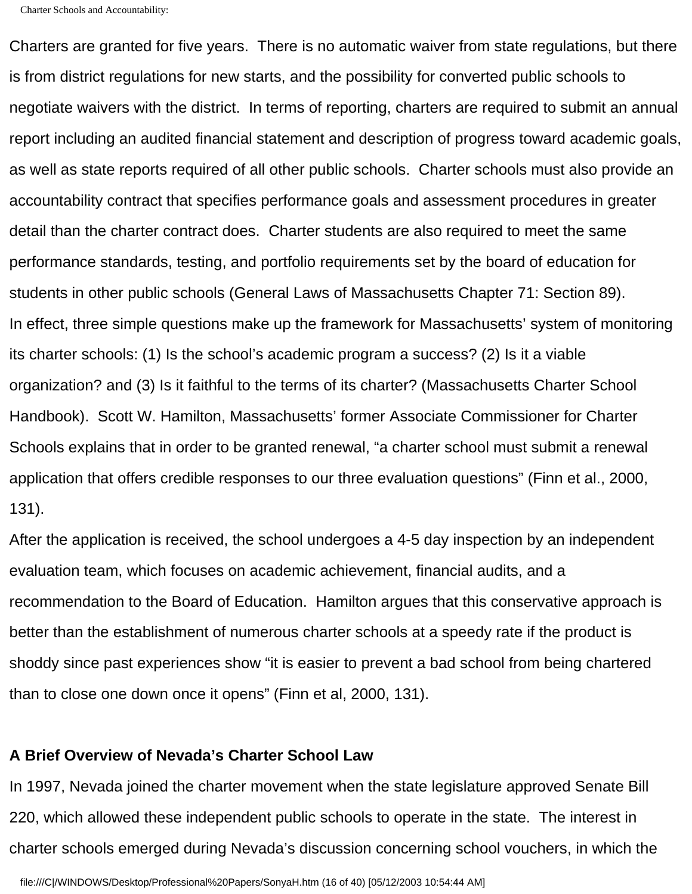Charters are granted for five years. There is no automatic waiver from state regulations, but there is from district regulations for new starts, and the possibility for converted public schools to negotiate waivers with the district. In terms of reporting, charters are required to submit an annual report including an audited financial statement and description of progress toward academic goals, as well as state reports required of all other public schools. Charter schools must also provide an accountability contract that specifies performance goals and assessment procedures in greater detail than the charter contract does. Charter students are also required to meet the same performance standards, testing, and portfolio requirements set by the board of education for students in other public schools (General Laws of Massachusetts Chapter 71: Section 89). In effect, three simple questions make up the framework for Massachusetts' system of monitoring its charter schools: (1) Is the school's academic program a success? (2) Is it a viable organization? and (3) Is it faithful to the terms of its charter? (Massachusetts Charter School Handbook). Scott W. Hamilton, Massachusetts' former Associate Commissioner for Charter Schools explains that in order to be granted renewal, "a charter school must submit a renewal application that offers credible responses to our three evaluation questions" (Finn et al., 2000, 131).

After the application is received, the school undergoes a 4-5 day inspection by an independent evaluation team, which focuses on academic achievement, financial audits, and a recommendation to the Board of Education. Hamilton argues that this conservative approach is better than the establishment of numerous charter schools at a speedy rate if the product is shoddy since past experiences show "it is easier to prevent a bad school from being chartered than to close one down once it opens" (Finn et al, 2000, 131).

#### **A Brief Overview of Nevada's Charter School Law**

In 1997, Nevada joined the charter movement when the state legislature approved Senate Bill 220, which allowed these independent public schools to operate in the state. The interest in charter schools emerged during Nevada's discussion concerning school vouchers, in which the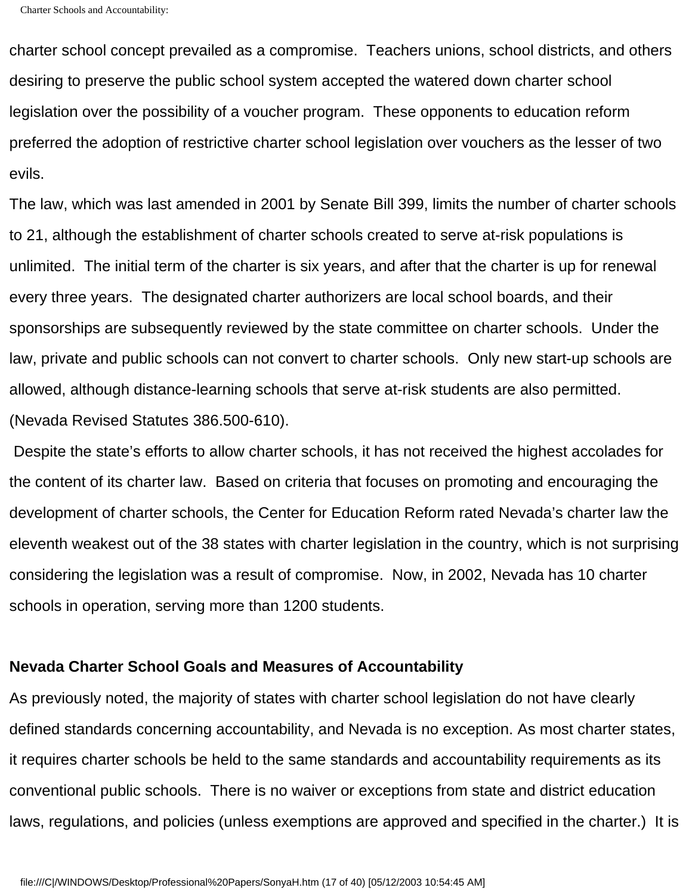charter school concept prevailed as a compromise. Teachers unions, school districts, and others desiring to preserve the public school system accepted the watered down charter school legislation over the possibility of a voucher program. These opponents to education reform preferred the adoption of restrictive charter school legislation over vouchers as the lesser of two evils.

The law, which was last amended in 2001 by Senate Bill 399, limits the number of charter schools to 21, although the establishment of charter schools created to serve at-risk populations is unlimited. The initial term of the charter is six years, and after that the charter is up for renewal every three years. The designated charter authorizers are local school boards, and their sponsorships are subsequently reviewed by the state committee on charter schools. Under the law, private and public schools can not convert to charter schools. Only new start-up schools are allowed, although distance-learning schools that serve at-risk students are also permitted. (Nevada Revised Statutes 386.500-610).

 Despite the state's efforts to allow charter schools, it has not received the highest accolades for the content of its charter law. Based on criteria that focuses on promoting and encouraging the development of charter schools, the Center for Education Reform rated Nevada's charter law the eleventh weakest out of the 38 states with charter legislation in the country, which is not surprising considering the legislation was a result of compromise. Now, in 2002, Nevada has 10 charter schools in operation, serving more than 1200 students.

#### **Nevada Charter School Goals and Measures of Accountability**

As previously noted, the majority of states with charter school legislation do not have clearly defined standards concerning accountability, and Nevada is no exception. As most charter states, it requires charter schools be held to the same standards and accountability requirements as its conventional public schools. There is no waiver or exceptions from state and district education laws, regulations, and policies (unless exemptions are approved and specified in the charter.) It is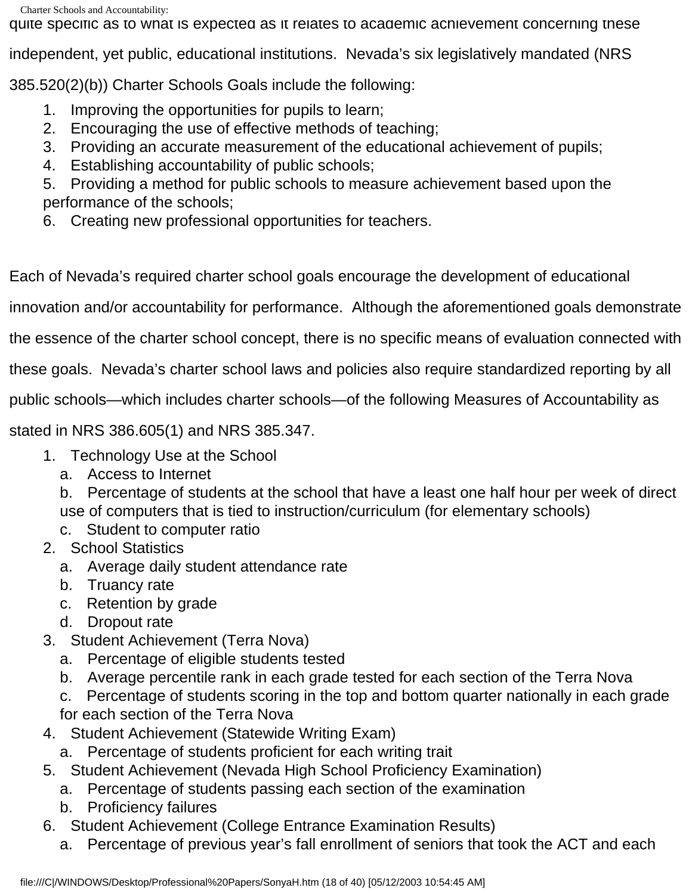quite specific as to what is expected as it relates to academic achievement concerning these

independent, yet public, educational institutions. Nevada's six legislatively mandated (NRS

385.520(2)(b)) Charter Schools Goals include the following:

- 1. Improving the opportunities for pupils to learn;
- 2. Encouraging the use of effective methods of teaching;
- 3. Providing an accurate measurement of the educational achievement of pupils;
- 4. Establishing accountability of public schools;

5. Providing a method for public schools to measure achievement based upon the performance of the schools;

6. Creating new professional opportunities for teachers.

Each of Nevada's required charter school goals encourage the development of educational

innovation and/or accountability for performance. Although the aforementioned goals demonstrate

the essence of the charter school concept, there is no specific means of evaluation connected with

these goals. Nevada's charter school laws and policies also require standardized reporting by all

public schools—which includes charter schools—of the following Measures of Accountability as

stated in NRS 386.605(1) and NRS 385.347.

- 1. Technology Use at the School
	- a. Access to Internet

b. Percentage of students at the school that have a least one half hour per week of direct use of computers that is tied to instruction/curriculum (for elementary schools)

- c. Student to computer ratio
- 2. School Statistics
	- a. Average daily student attendance rate
	- b. Truancy rate
	- c. Retention by grade
	- d. Dropout rate
- 3. Student Achievement (Terra Nova)
	- a. Percentage of eligible students tested
	- b. Average percentile rank in each grade tested for each section of the Terra Nova
	- c. Percentage of students scoring in the top and bottom quarter nationally in each grade for each section of the Terra Nova
- 4. Student Achievement (Statewide Writing Exam)
	- a. Percentage of students proficient for each writing trait
- 5. Student Achievement (Nevada High School Proficiency Examination)
	- a. Percentage of students passing each section of the examination
	- b. Proficiency failures
- 6. Student Achievement (College Entrance Examination Results)
	- a. Percentage of previous year's fall enrollment of seniors that took the ACT and each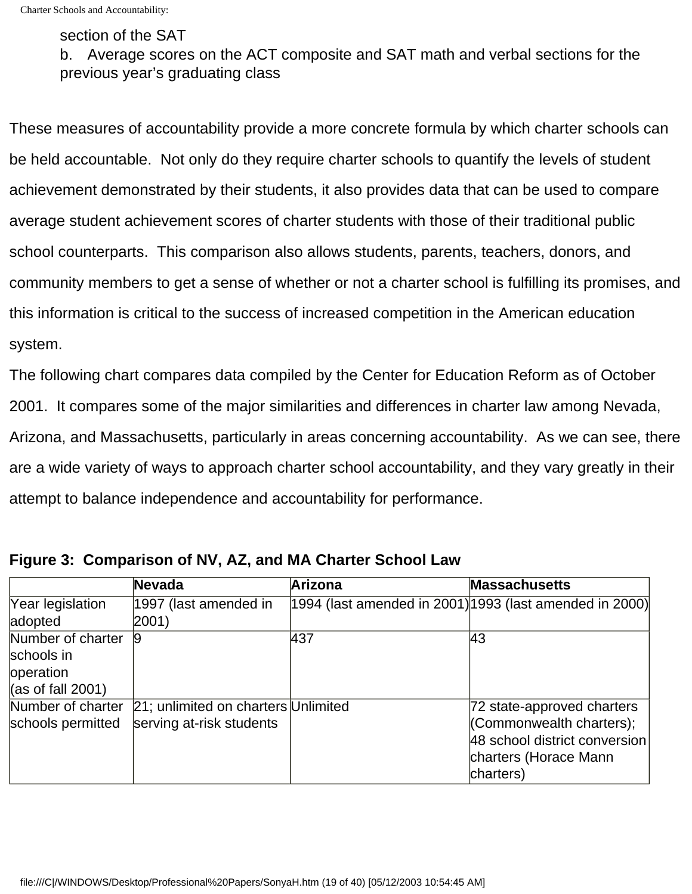#### section of the SAT

b. Average scores on the ACT composite and SAT math and verbal sections for the previous year's graduating class

These measures of accountability provide a more concrete formula by which charter schools can be held accountable. Not only do they require charter schools to quantify the levels of student achievement demonstrated by their students, it also provides data that can be used to compare average student achievement scores of charter students with those of their traditional public school counterparts. This comparison also allows students, parents, teachers, donors, and community members to get a sense of whether or not a charter school is fulfilling its promises, and this information is critical to the success of increased competition in the American education system.

The following chart compares data compiled by the Center for Education Reform as of October 2001. It compares some of the major similarities and differences in charter law among Nevada, Arizona, and Massachusetts, particularly in areas concerning accountability. As we can see, there are a wide variety of ways to approach charter school accountability, and they vary greatly in their attempt to balance independence and accountability for performance.

|                                                                           | Nevada                                                          | Arizona | <b>Massachusetts</b>                                                                                                          |
|---------------------------------------------------------------------------|-----------------------------------------------------------------|---------|-------------------------------------------------------------------------------------------------------------------------------|
| Year legislation                                                          | 1997 (last amended in                                           |         | 1994 (last amended in 2001) 1993 (last amended in 2000)                                                                       |
| adopted                                                                   | $ 2001\rangle$                                                  |         |                                                                                                                               |
| Number of charter<br>schools in<br>operation<br>$\vert$ (as of fall 2001) | 9                                                               | 437     | 43                                                                                                                            |
| Number of charter<br>schools permitted                                    | 21; unlimited on charters Unlimited<br>serving at-risk students |         | 72 state-approved charters<br>(Commonwealth charters);<br>48 school district conversion<br>charters (Horace Mann<br>charters) |

**Figure 3: Comparison of NV, AZ, and MA Charter School Law**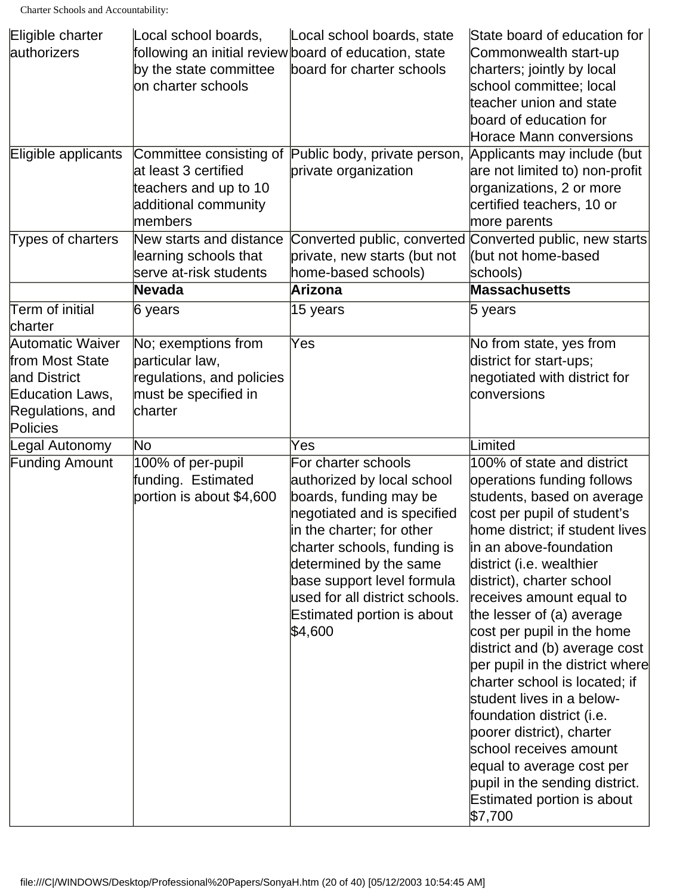| Eligible charter      | Local school boards,      | Local school boards, state                            | State board of education for    |
|-----------------------|---------------------------|-------------------------------------------------------|---------------------------------|
| authorizers           |                           | following an initial review board of education, state | Commonwealth start-up           |
|                       | by the state committee    | board for charter schools                             | charters; jointly by local      |
|                       | on charter schools        |                                                       | school committee; local         |
|                       |                           |                                                       | teacher union and state         |
|                       |                           |                                                       | board of education for          |
|                       |                           |                                                       | Horace Mann conversions         |
| Eligible applicants   |                           | Committee consisting of Public body, private person,  | Applicants may include (but     |
|                       | at least 3 certified      | private organization                                  | are not limited to) non-profit  |
|                       | teachers and up to 10     |                                                       | organizations, 2 or more        |
|                       | additional community      |                                                       | certified teachers, 10 or       |
|                       | members                   |                                                       | more parents                    |
| Types of charters     | New starts and distance   | Converted public, converted                           | Converted public, new starts    |
|                       | learning schools that     | private, new starts (but not                          | (but not home-based             |
|                       | serve at-risk students    | home-based schools)                                   | schools)                        |
|                       | Nevada                    | Arizona                                               | <b>Massachusetts</b>            |
| Term of initial       | $6$ years                 | 15 years                                              | 5 years                         |
| charter               |                           |                                                       |                                 |
| Automatic Waiver      | No; exemptions from       | Yes                                                   | No from state, yes from         |
| from Most State       | particular law,           |                                                       | district for start-ups;         |
| and District          | regulations, and policies |                                                       | negotiated with district for    |
| Education Laws,       | must be specified in      |                                                       | conversions                     |
| Regulations, and      | charter                   |                                                       |                                 |
| Policies              |                           |                                                       |                                 |
| Legal Autonomy        | No                        | Yes                                                   | Limited                         |
| <b>Funding Amount</b> | 100% of per-pupil         | For charter schools                                   | 100% of state and district      |
|                       | funding. Estimated        | authorized by local school                            | operations funding follows      |
|                       | portion is about \$4,600  | boards, funding may be                                | students, based on average      |
|                       |                           | negotiated and is specified                           | cost per pupil of student's     |
|                       |                           | in the charter; for other                             | home district: if student lives |
|                       |                           | charter schools, funding is                           | in an above-foundation          |
|                       |                           | determined by the same                                | district (i.e. wealthier        |
|                       |                           | base support level formula                            | district), charter school       |
|                       |                           | used for all district schools.                        | receives amount equal to        |
|                       |                           | Estimated portion is about                            | the lesser of (a) average       |
|                       |                           | \$4,600                                               | cost per pupil in the home      |
|                       |                           |                                                       | district and (b) average cost   |
|                       |                           |                                                       | per pupil in the district where |
|                       |                           |                                                       | charter school is located; if   |
|                       |                           |                                                       | student lives in a below-       |
|                       |                           |                                                       | foundation district (i.e.       |
|                       |                           |                                                       | poorer district), charter       |
|                       |                           |                                                       | school receives amount          |
|                       |                           |                                                       | equal to average cost per       |
|                       |                           |                                                       | pupil in the sending district.  |
|                       |                           |                                                       | Estimated portion is about      |
|                       |                           |                                                       | \$7,700                         |
|                       |                           |                                                       |                                 |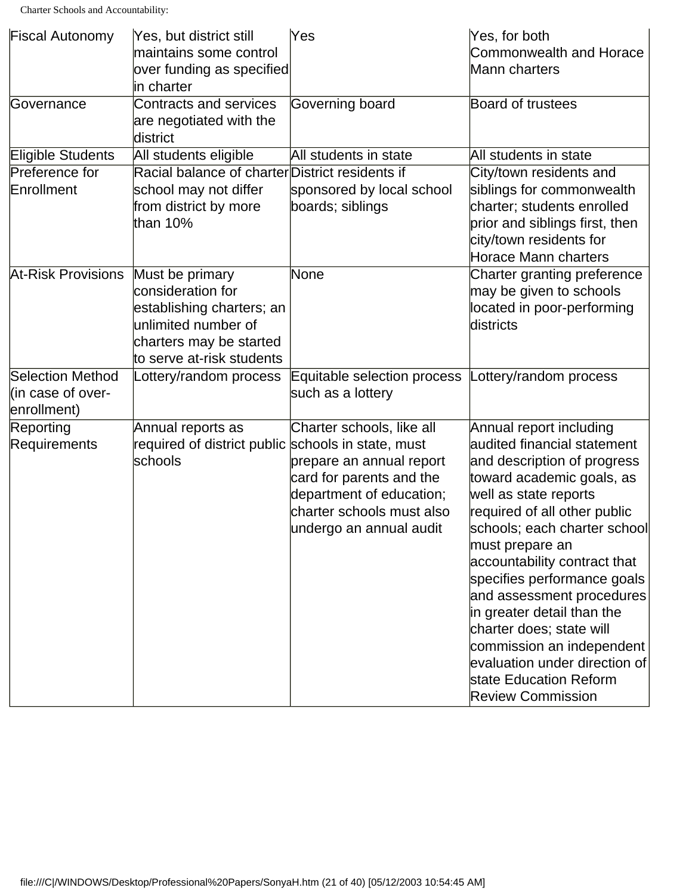| <b>Fiscal Autonomy</b>    | Yes, but district still                            | Yes                         | Yes, for both                  |
|---------------------------|----------------------------------------------------|-----------------------------|--------------------------------|
|                           | maintains some control                             |                             | <b>Commonwealth and Horace</b> |
|                           | over funding as specified                          |                             | Mann charters                  |
|                           | in charter                                         |                             |                                |
| Governance                | Contracts and services                             | Governing board             | <b>Board of trustees</b>       |
|                           | are negotiated with the                            |                             |                                |
|                           | district                                           |                             |                                |
| Eligible Students         | All students eligible                              | All students in state       | All students in state          |
| Preference for            | Racial balance of charter District residents if    |                             | City/town residents and        |
| Enrollment                | school may not differ                              | sponsored by local school   | siblings for commonwealth      |
|                           | from district by more                              | boards; siblings            | charter; students enrolled     |
|                           | than 10%                                           |                             | prior and siblings first, then |
|                           |                                                    |                             | city/town residents for        |
|                           |                                                    |                             | <b>Horace Mann charters</b>    |
| <b>At-Risk Provisions</b> | Must be primary                                    | None                        | Charter granting preference    |
|                           | consideration for                                  |                             | may be given to schools        |
|                           | establishing charters; an                          |                             | located in poor-performing     |
|                           | unlimited number of                                |                             | districts                      |
|                           | charters may be started                            |                             |                                |
|                           | to serve at-risk students                          |                             |                                |
| <b>Selection Method</b>   | Lottery/random process                             | Equitable selection process | Lottery/random process         |
| (in case of over-         |                                                    | such as a lottery           |                                |
| enrollment)               |                                                    |                             |                                |
| Reporting                 | Annual reports as                                  | Charter schools, like all   | Annual report including        |
| <b>Requirements</b>       | required of district public schools in state, must |                             | audited financial statement    |
|                           | schools                                            | prepare an annual report    | and description of progress    |
|                           |                                                    | card for parents and the    | toward academic goals, as      |
|                           |                                                    | department of education;    | well as state reports          |
|                           |                                                    | charter schools must also   | required of all other public   |
|                           |                                                    | undergo an annual audit     | schools; each charter school   |
|                           |                                                    |                             | must prepare an                |
|                           |                                                    |                             | accountability contract that   |
|                           |                                                    |                             | specifies performance goals    |
|                           |                                                    |                             | and assessment procedures      |
|                           |                                                    |                             | in greater detail than the     |
|                           |                                                    |                             | charter does; state will       |
|                           |                                                    |                             | commission an independent      |
|                           |                                                    |                             | evaluation under direction of  |
|                           |                                                    |                             | state Education Reform         |
|                           |                                                    |                             | <b>Review Commission</b>       |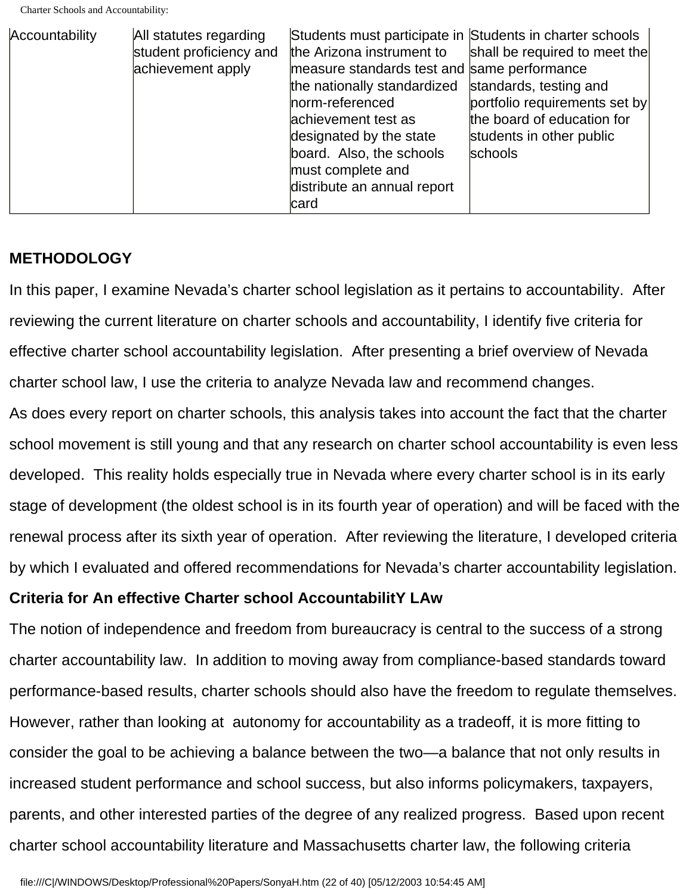| Accountability | All statutes regarding<br>student proficiency and<br>achievement apply | Students must participate in Students in charter schools<br>the Arizona instrument to<br>measure standards test and same performance<br>the nationally standardized<br>norm-referenced<br>achievement test as<br>designated by the state<br>board. Also, the schools<br>must complete and<br>distribute an annual report<br>card | shall be required to meet the<br>standards, testing and<br>portfolio requirements set by<br>the board of education for<br>students in other public<br>schools |
|----------------|------------------------------------------------------------------------|----------------------------------------------------------------------------------------------------------------------------------------------------------------------------------------------------------------------------------------------------------------------------------------------------------------------------------|---------------------------------------------------------------------------------------------------------------------------------------------------------------|
|----------------|------------------------------------------------------------------------|----------------------------------------------------------------------------------------------------------------------------------------------------------------------------------------------------------------------------------------------------------------------------------------------------------------------------------|---------------------------------------------------------------------------------------------------------------------------------------------------------------|

#### **METHODOLOGY**

In this paper, I examine Nevada's charter school legislation as it pertains to accountability. After reviewing the current literature on charter schools and accountability, I identify five criteria for effective charter school accountability legislation. After presenting a brief overview of Nevada charter school law, I use the criteria to analyze Nevada law and recommend changes. As does every report on charter schools, this analysis takes into account the fact that the charter school movement is still young and that any research on charter school accountability is even less developed. This reality holds especially true in Nevada where every charter school is in its early

stage of development (the oldest school is in its fourth year of operation) and will be faced with the renewal process after its sixth year of operation. After reviewing the literature, I developed criteria by which I evaluated and offered recommendations for Nevada's charter accountability legislation.

#### **Criteria for An effective Charter school AccountabilitY LAw**

The notion of independence and freedom from bureaucracy is central to the success of a strong charter accountability law. In addition to moving away from compliance-based standards toward performance-based results, charter schools should also have the freedom to regulate themselves. However, rather than looking at autonomy for accountability as a tradeoff, it is more fitting to consider the goal to be achieving a balance between the two—a balance that not only results in increased student performance and school success, but also informs policymakers, taxpayers, parents, and other interested parties of the degree of any realized progress. Based upon recent charter school accountability literature and Massachusetts charter law, the following criteria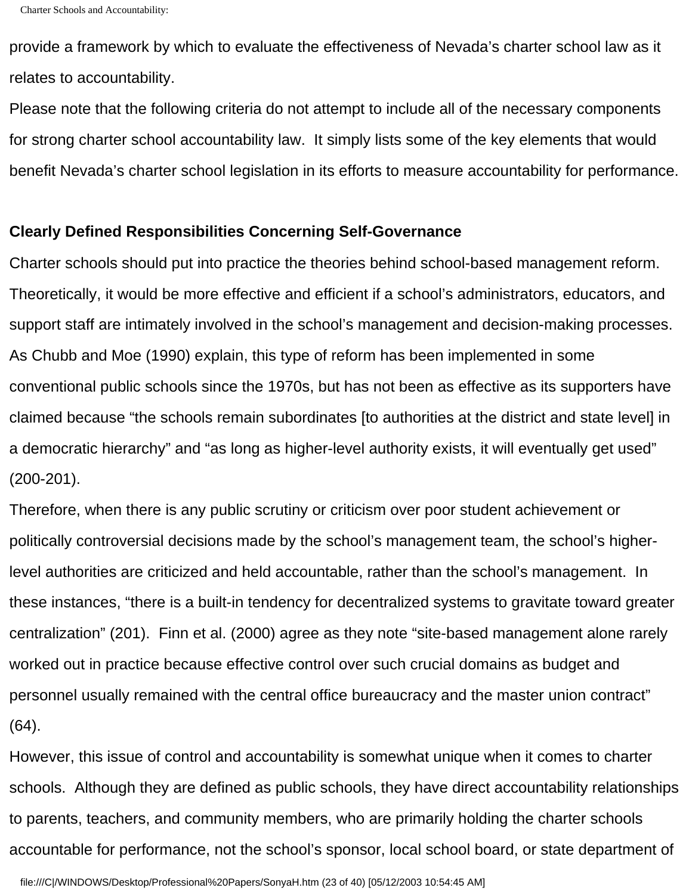provide a framework by which to evaluate the effectiveness of Nevada's charter school law as it relates to accountability.

Please note that the following criteria do not attempt to include all of the necessary components for strong charter school accountability law. It simply lists some of the key elements that would benefit Nevada's charter school legislation in its efforts to measure accountability for performance.

#### **Clearly Defined Responsibilities Concerning Self-Governance**

Charter schools should put into practice the theories behind school-based management reform. Theoretically, it would be more effective and efficient if a school's administrators, educators, and support staff are intimately involved in the school's management and decision-making processes. As Chubb and Moe (1990) explain, this type of reform has been implemented in some conventional public schools since the 1970s, but has not been as effective as its supporters have claimed because "the schools remain subordinates [to authorities at the district and state level] in a democratic hierarchy" and "as long as higher-level authority exists, it will eventually get used" (200-201).

Therefore, when there is any public scrutiny or criticism over poor student achievement or politically controversial decisions made by the school's management team, the school's higherlevel authorities are criticized and held accountable, rather than the school's management. In these instances, "there is a built-in tendency for decentralized systems to gravitate toward greater centralization" (201). Finn et al. (2000) agree as they note "site-based management alone rarely worked out in practice because effective control over such crucial domains as budget and personnel usually remained with the central office bureaucracy and the master union contract" (64).

However, this issue of control and accountability is somewhat unique when it comes to charter schools. Although they are defined as public schools, they have direct accountability relationships to parents, teachers, and community members, who are primarily holding the charter schools accountable for performance, not the school's sponsor, local school board, or state department of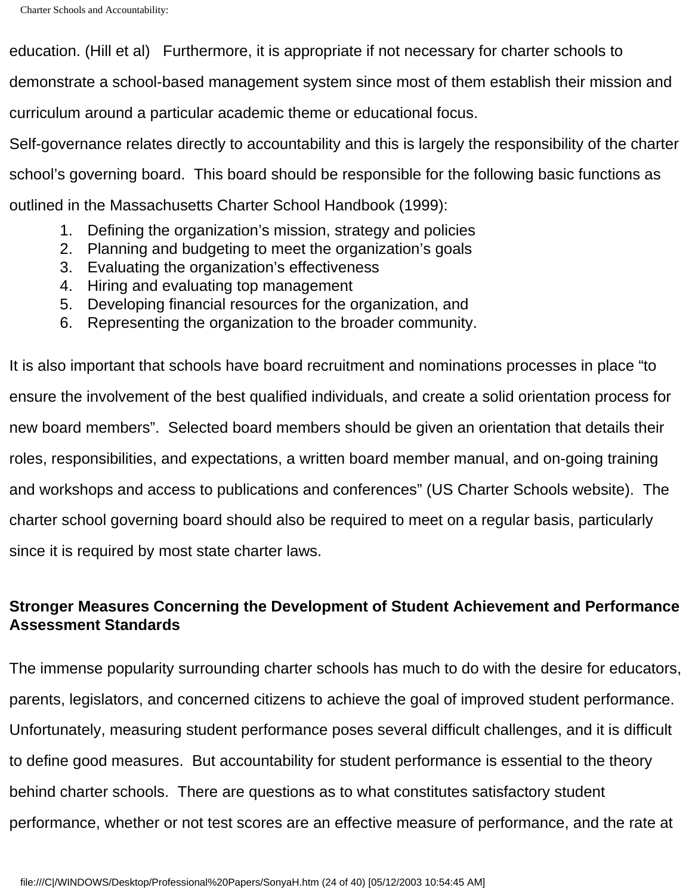education. (Hill et al) Furthermore, it is appropriate if not necessary for charter schools to demonstrate a school-based management system since most of them establish their mission and curriculum around a particular academic theme or educational focus. Self-governance relates directly to accountability and this is largely the responsibility of the charter school's governing board. This board should be responsible for the following basic functions as outlined in the Massachusetts Charter School Handbook (1999):

- 1. Defining the organization's mission, strategy and policies
- 2. Planning and budgeting to meet the organization's goals
- 3. Evaluating the organization's effectiveness
- 4. Hiring and evaluating top management
- 5. Developing financial resources for the organization, and
- 6. Representing the organization to the broader community.

It is also important that schools have board recruitment and nominations processes in place "to ensure the involvement of the best qualified individuals, and create a solid orientation process for new board members". Selected board members should be given an orientation that details their roles, responsibilities, and expectations, a written board member manual, and on-going training and workshops and access to publications and conferences" (US Charter Schools website). The charter school governing board should also be required to meet on a regular basis, particularly since it is required by most state charter laws.

# **Stronger Measures Concerning the Development of Student Achievement and Performance Assessment Standards**

The immense popularity surrounding charter schools has much to do with the desire for educators, parents, legislators, and concerned citizens to achieve the goal of improved student performance. Unfortunately, measuring student performance poses several difficult challenges, and it is difficult to define good measures. But accountability for student performance is essential to the theory behind charter schools. There are questions as to what constitutes satisfactory student performance, whether or not test scores are an effective measure of performance, and the rate at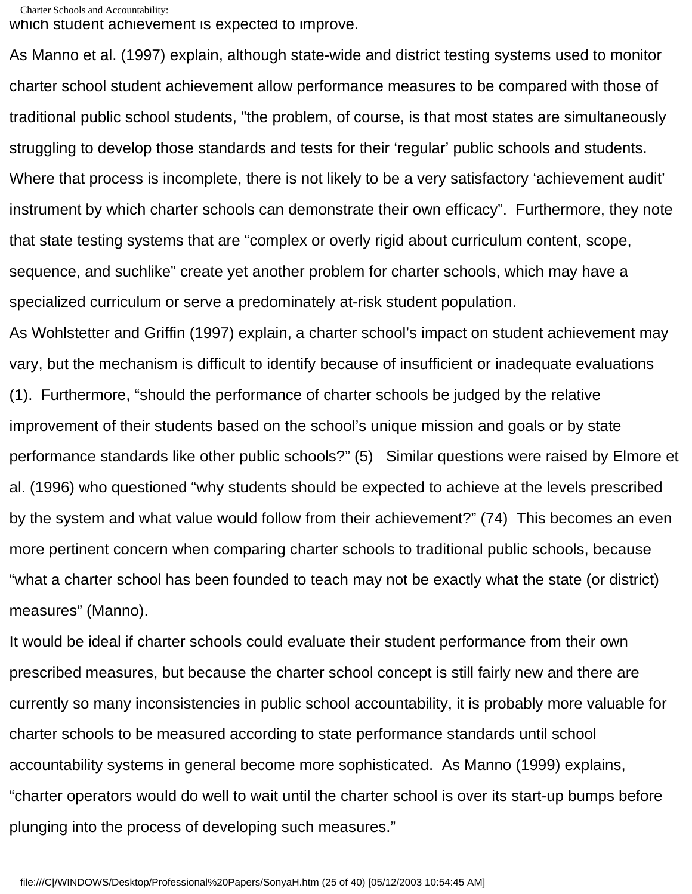```
Charter Schools and Accountability:
```
which student achievement is expected to improve.

As Manno et al. (1997) explain, although state-wide and district testing systems used to monitor charter school student achievement allow performance measures to be compared with those of traditional public school students, "the problem, of course, is that most states are simultaneously struggling to develop those standards and tests for their 'regular' public schools and students. Where that process is incomplete, there is not likely to be a very satisfactory 'achievement audit' instrument by which charter schools can demonstrate their own efficacy". Furthermore, they note that state testing systems that are "complex or overly rigid about curriculum content, scope, sequence, and suchlike" create yet another problem for charter schools, which may have a specialized curriculum or serve a predominately at-risk student population.

As Wohlstetter and Griffin (1997) explain, a charter school's impact on student achievement may vary, but the mechanism is difficult to identify because of insufficient or inadequate evaluations (1). Furthermore, "should the performance of charter schools be judged by the relative improvement of their students based on the school's unique mission and goals or by state performance standards like other public schools?" (5) Similar questions were raised by Elmore et al. (1996) who questioned "why students should be expected to achieve at the levels prescribed by the system and what value would follow from their achievement?" (74) This becomes an even more pertinent concern when comparing charter schools to traditional public schools, because "what a charter school has been founded to teach may not be exactly what the state (or district) measures" (Manno).

It would be ideal if charter schools could evaluate their student performance from their own prescribed measures, but because the charter school concept is still fairly new and there are currently so many inconsistencies in public school accountability, it is probably more valuable for charter schools to be measured according to state performance standards until school accountability systems in general become more sophisticated. As Manno (1999) explains, "charter operators would do well to wait until the charter school is over its start-up bumps before plunging into the process of developing such measures."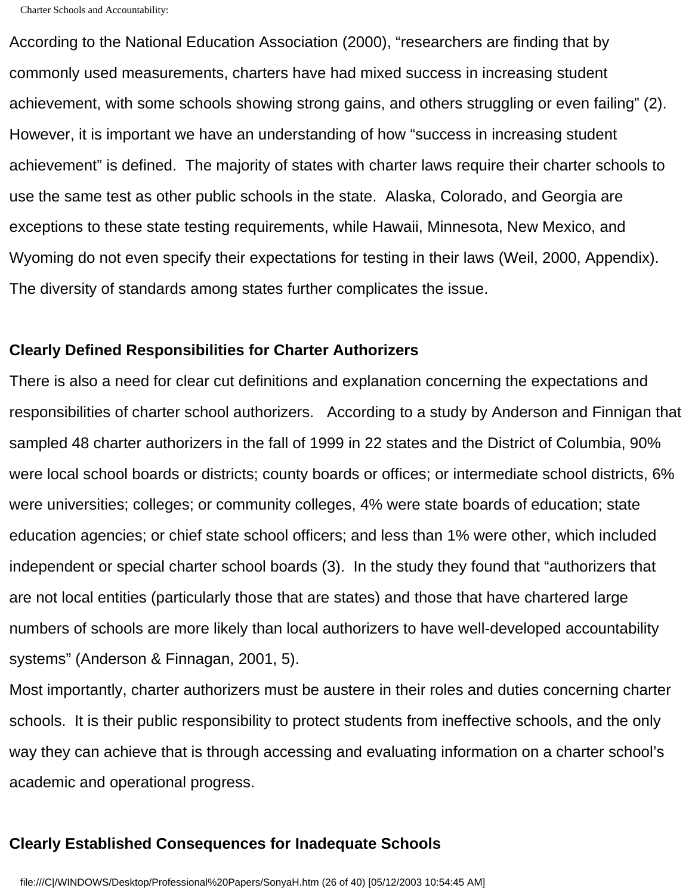According to the National Education Association (2000), "researchers are finding that by commonly used measurements, charters have had mixed success in increasing student achievement, with some schools showing strong gains, and others struggling or even failing" (2). However, it is important we have an understanding of how "success in increasing student achievement" is defined. The majority of states with charter laws require their charter schools to use the same test as other public schools in the state. Alaska, Colorado, and Georgia are exceptions to these state testing requirements, while Hawaii, Minnesota, New Mexico, and Wyoming do not even specify their expectations for testing in their laws (Weil, 2000, Appendix). The diversity of standards among states further complicates the issue.

#### **Clearly Defined Responsibilities for Charter Authorizers**

There is also a need for clear cut definitions and explanation concerning the expectations and responsibilities of charter school authorizers. According to a study by Anderson and Finnigan that sampled 48 charter authorizers in the fall of 1999 in 22 states and the District of Columbia, 90% were local school boards or districts; county boards or offices; or intermediate school districts, 6% were universities; colleges; or community colleges, 4% were state boards of education; state education agencies; or chief state school officers; and less than 1% were other, which included independent or special charter school boards (3). In the study they found that "authorizers that are not local entities (particularly those that are states) and those that have chartered large numbers of schools are more likely than local authorizers to have well-developed accountability systems" (Anderson & Finnagan, 2001, 5).

Most importantly, charter authorizers must be austere in their roles and duties concerning charter schools. It is their public responsibility to protect students from ineffective schools, and the only way they can achieve that is through accessing and evaluating information on a charter school's academic and operational progress.

#### **Clearly Established Consequences for Inadequate Schools**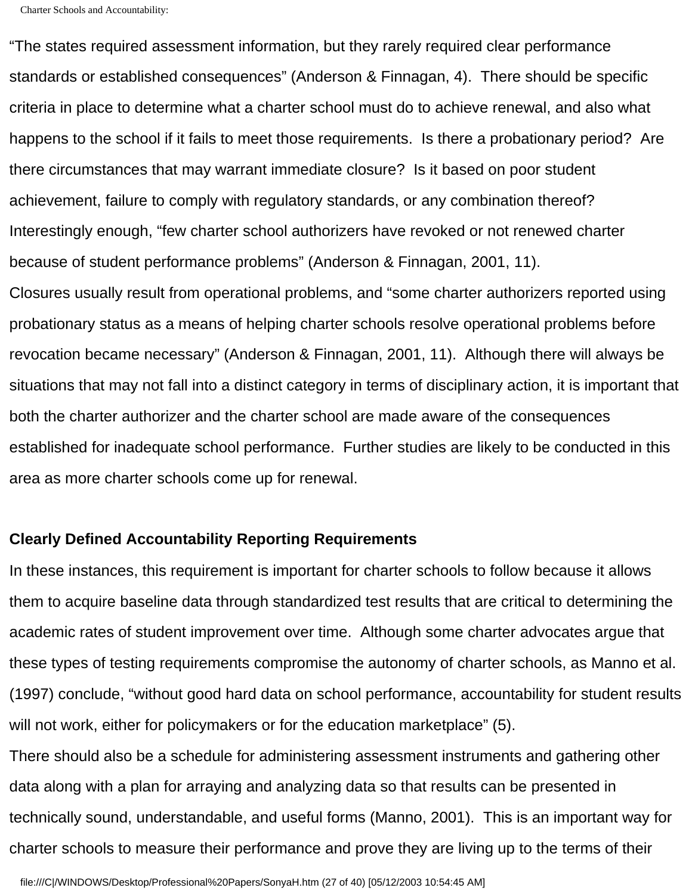"The states required assessment information, but they rarely required clear performance standards or established consequences" (Anderson & Finnagan, 4). There should be specific criteria in place to determine what a charter school must do to achieve renewal, and also what happens to the school if it fails to meet those requirements. Is there a probationary period? Are there circumstances that may warrant immediate closure? Is it based on poor student achievement, failure to comply with regulatory standards, or any combination thereof? Interestingly enough, "few charter school authorizers have revoked or not renewed charter because of student performance problems" (Anderson & Finnagan, 2001, 11). Closures usually result from operational problems, and "some charter authorizers reported using probationary status as a means of helping charter schools resolve operational problems before revocation became necessary" (Anderson & Finnagan, 2001, 11). Although there will always be situations that may not fall into a distinct category in terms of disciplinary action, it is important that both the charter authorizer and the charter school are made aware of the consequences established for inadequate school performance. Further studies are likely to be conducted in this area as more charter schools come up for renewal.

#### **Clearly Defined Accountability Reporting Requirements**

In these instances, this requirement is important for charter schools to follow because it allows them to acquire baseline data through standardized test results that are critical to determining the academic rates of student improvement over time. Although some charter advocates argue that these types of testing requirements compromise the autonomy of charter schools, as Manno et al. (1997) conclude, "without good hard data on school performance, accountability for student results will not work, either for policymakers or for the education marketplace" (5).

There should also be a schedule for administering assessment instruments and gathering other data along with a plan for arraying and analyzing data so that results can be presented in technically sound, understandable, and useful forms (Manno, 2001). This is an important way for charter schools to measure their performance and prove they are living up to the terms of their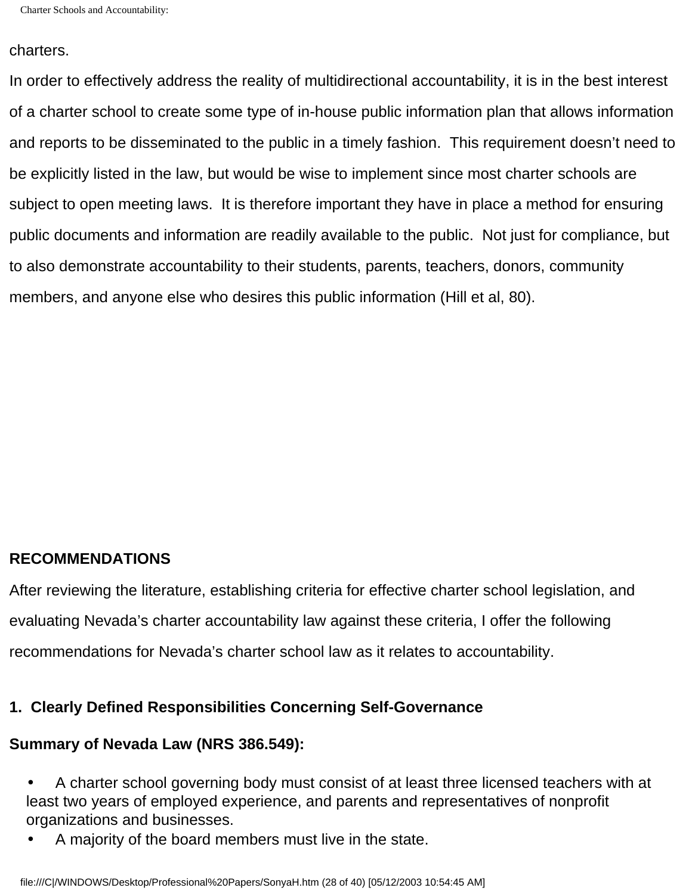#### charters.

In order to effectively address the reality of multidirectional accountability, it is in the best interest of a charter school to create some type of in-house public information plan that allows information and reports to be disseminated to the public in a timely fashion. This requirement doesn't need to be explicitly listed in the law, but would be wise to implement since most charter schools are subject to open meeting laws. It is therefore important they have in place a method for ensuring public documents and information are readily available to the public. Not just for compliance, but to also demonstrate accountability to their students, parents, teachers, donors, community members, and anyone else who desires this public information (Hill et al, 80).

# **RECOMMENDATIONS**

After reviewing the literature, establishing criteria for effective charter school legislation, and evaluating Nevada's charter accountability law against these criteria, I offer the following recommendations for Nevada's charter school law as it relates to accountability.

# **1. Clearly Defined Responsibilities Concerning Self-Governance**

#### **Summary of Nevada Law (NRS 386.549):**

- A charter school governing body must consist of at least three licensed teachers with at least two years of employed experience, and parents and representatives of nonprofit organizations and businesses.
- A majority of the board members must live in the state.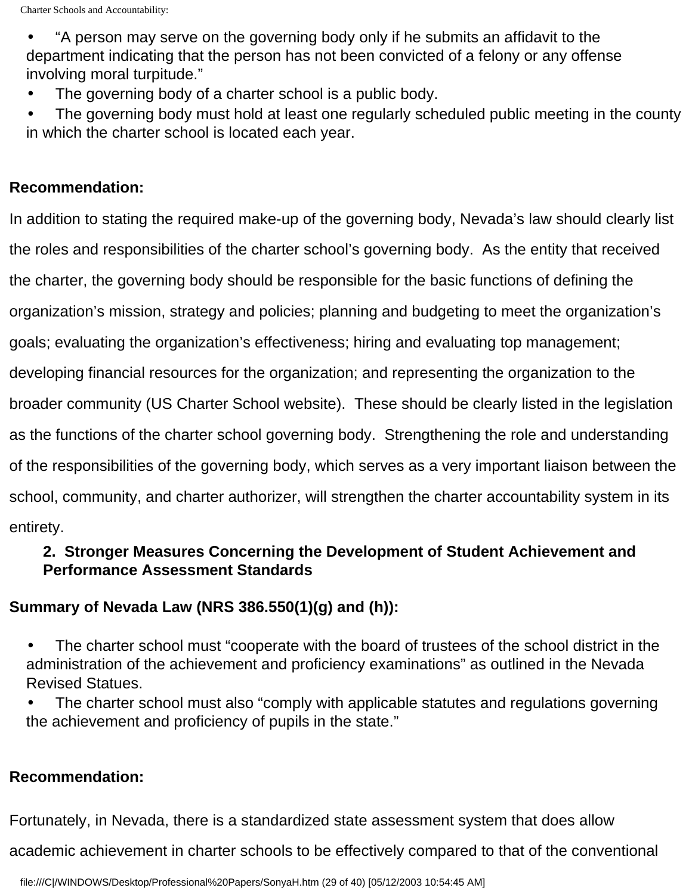• "A person may serve on the governing body only if he submits an affidavit to the department indicating that the person has not been convicted of a felony or any offense involving moral turpitude."

- The governing body of a charter school is a public body.
- The governing body must hold at least one regularly scheduled public meeting in the county in which the charter school is located each year.

# **Recommendation:**

In addition to stating the required make-up of the governing body, Nevada's law should clearly list the roles and responsibilities of the charter school's governing body. As the entity that received the charter, the governing body should be responsible for the basic functions of defining the organization's mission, strategy and policies; planning and budgeting to meet the organization's goals; evaluating the organization's effectiveness; hiring and evaluating top management; developing financial resources for the organization; and representing the organization to the broader community (US Charter School website). These should be clearly listed in the legislation as the functions of the charter school governing body. Strengthening the role and understanding of the responsibilities of the governing body, which serves as a very important liaison between the school, community, and charter authorizer, will strengthen the charter accountability system in its entirety.

# **2. Stronger Measures Concerning the Development of Student Achievement and Performance Assessment Standards**

# **Summary of Nevada Law (NRS 386.550(1)(g) and (h)):**

- The charter school must "cooperate with the board of trustees of the school district in the administration of the achievement and proficiency examinations" as outlined in the Nevada Revised Statues.
- The charter school must also "comply with applicable statutes and regulations governing the achievement and proficiency of pupils in the state."

# **Recommendation:**

Fortunately, in Nevada, there is a standardized state assessment system that does allow

academic achievement in charter schools to be effectively compared to that of the conventional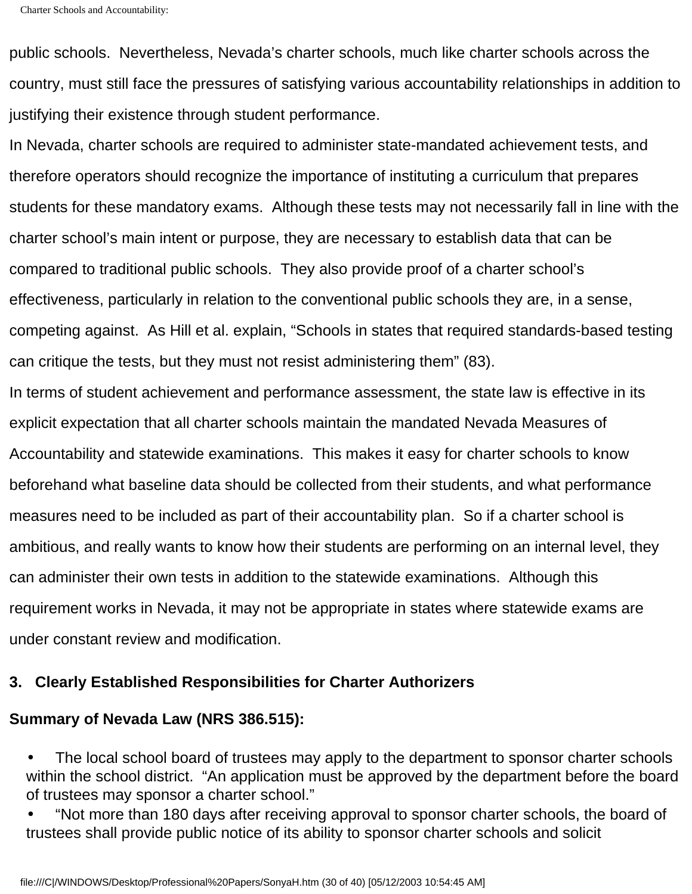```
Charter Schools and Accountability:
```
public schools. Nevertheless, Nevada's charter schools, much like charter schools across the country, must still face the pressures of satisfying various accountability relationships in addition to justifying their existence through student performance.

In Nevada, charter schools are required to administer state-mandated achievement tests, and therefore operators should recognize the importance of instituting a curriculum that prepares students for these mandatory exams. Although these tests may not necessarily fall in line with the charter school's main intent or purpose, they are necessary to establish data that can be compared to traditional public schools. They also provide proof of a charter school's effectiveness, particularly in relation to the conventional public schools they are, in a sense, competing against. As Hill et al. explain, "Schools in states that required standards-based testing can critique the tests, but they must not resist administering them" (83).

In terms of student achievement and performance assessment, the state law is effective in its explicit expectation that all charter schools maintain the mandated Nevada Measures of Accountability and statewide examinations. This makes it easy for charter schools to know beforehand what baseline data should be collected from their students, and what performance measures need to be included as part of their accountability plan. So if a charter school is ambitious, and really wants to know how their students are performing on an internal level, they can administer their own tests in addition to the statewide examinations. Although this requirement works in Nevada, it may not be appropriate in states where statewide exams are under constant review and modification.

# **3. Clearly Established Responsibilities for Charter Authorizers**

# **Summary of Nevada Law (NRS 386.515):**

• The local school board of trustees may apply to the department to sponsor charter schools within the school district. "An application must be approved by the department before the board of trustees may sponsor a charter school."

• "Not more than 180 days after receiving approval to sponsor charter schools, the board of trustees shall provide public notice of its ability to sponsor charter schools and solicit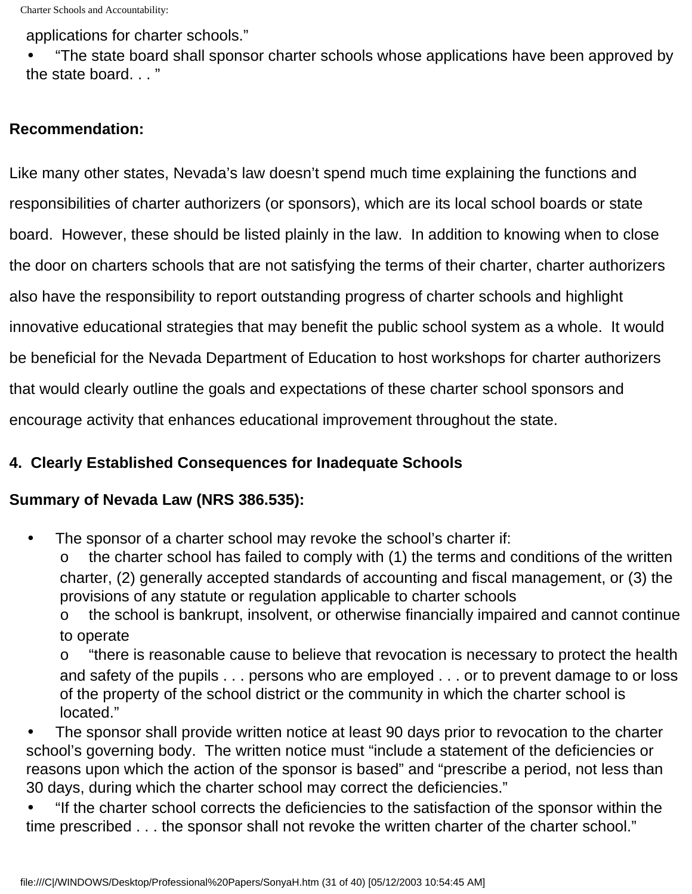applications for charter schools."

• "The state board shall sponsor charter schools whose applications have been approved by the state board. . . "

# **Recommendation:**

Like many other states, Nevada's law doesn't spend much time explaining the functions and responsibilities of charter authorizers (or sponsors), which are its local school boards or state board. However, these should be listed plainly in the law. In addition to knowing when to close the door on charters schools that are not satisfying the terms of their charter, charter authorizers also have the responsibility to report outstanding progress of charter schools and highlight innovative educational strategies that may benefit the public school system as a whole. It would be beneficial for the Nevada Department of Education to host workshops for charter authorizers that would clearly outline the goals and expectations of these charter school sponsors and encourage activity that enhances educational improvement throughout the state.

# **4. Clearly Established Consequences for Inadequate Schools**

# **Summary of Nevada Law (NRS 386.535):**

The sponsor of a charter school may revoke the school's charter if:

the charter school has failed to comply with (1) the terms and conditions of the written charter, (2) generally accepted standards of accounting and fiscal management, or (3) the provisions of any statute or regulation applicable to charter schools

o the school is bankrupt, insolvent, or otherwise financially impaired and cannot continue to operate

o "there is reasonable cause to believe that revocation is necessary to protect the health and safety of the pupils . . . persons who are employed . . . or to prevent damage to or loss of the property of the school district or the community in which the charter school is located."

• The sponsor shall provide written notice at least 90 days prior to revocation to the charter school's governing body. The written notice must "include a statement of the deficiencies or reasons upon which the action of the sponsor is based" and "prescribe a period, not less than 30 days, during which the charter school may correct the deficiencies."

• "If the charter school corrects the deficiencies to the satisfaction of the sponsor within the time prescribed . . . the sponsor shall not revoke the written charter of the charter school."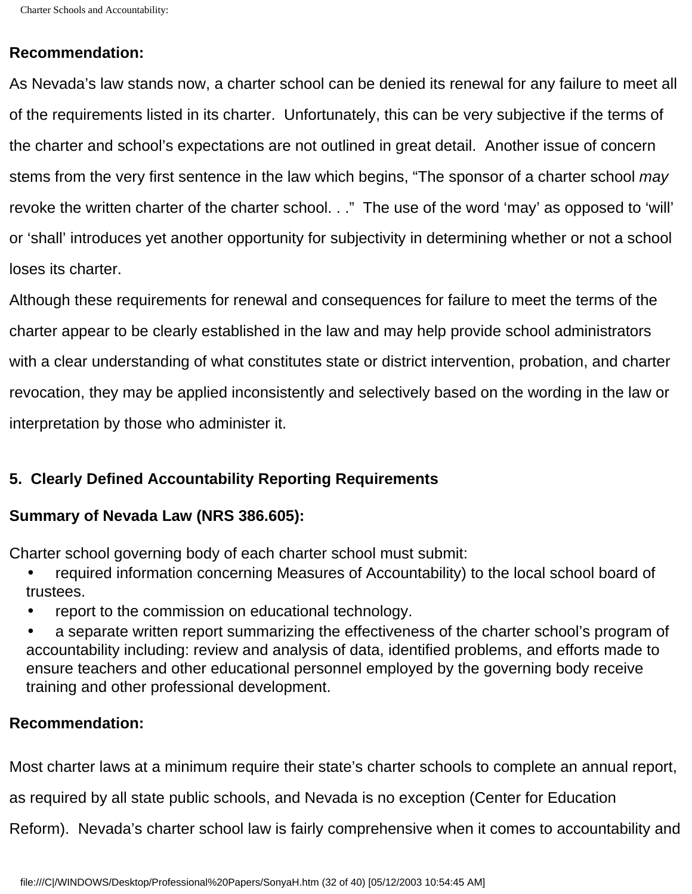#### **Recommendation:**

As Nevada's law stands now, a charter school can be denied its renewal for any failure to meet all of the requirements listed in its charter. Unfortunately, this can be very subjective if the terms of the charter and school's expectations are not outlined in great detail. Another issue of concern stems from the very first sentence in the law which begins, "The sponsor of a charter school *may*  revoke the written charter of the charter school. . ." The use of the word 'may' as opposed to 'will' or 'shall' introduces yet another opportunity for subjectivity in determining whether or not a school loses its charter.

Although these requirements for renewal and consequences for failure to meet the terms of the charter appear to be clearly established in the law and may help provide school administrators with a clear understanding of what constitutes state or district intervention, probation, and charter revocation, they may be applied inconsistently and selectively based on the wording in the law or interpretation by those who administer it.

# **5. Clearly Defined Accountability Reporting Requirements**

#### **Summary of Nevada Law (NRS 386.605):**

Charter school governing body of each charter school must submit:

- required information concerning Measures of Accountability) to the local school board of trustees.
- report to the commission on educational technology.
- a separate written report summarizing the effectiveness of the charter school's program of accountability including: review and analysis of data, identified problems, and efforts made to ensure teachers and other educational personnel employed by the governing body receive training and other professional development.

#### **Recommendation:**

Most charter laws at a minimum require their state's charter schools to complete an annual report,

as required by all state public schools, and Nevada is no exception (Center for Education

Reform). Nevada's charter school law is fairly comprehensive when it comes to accountability and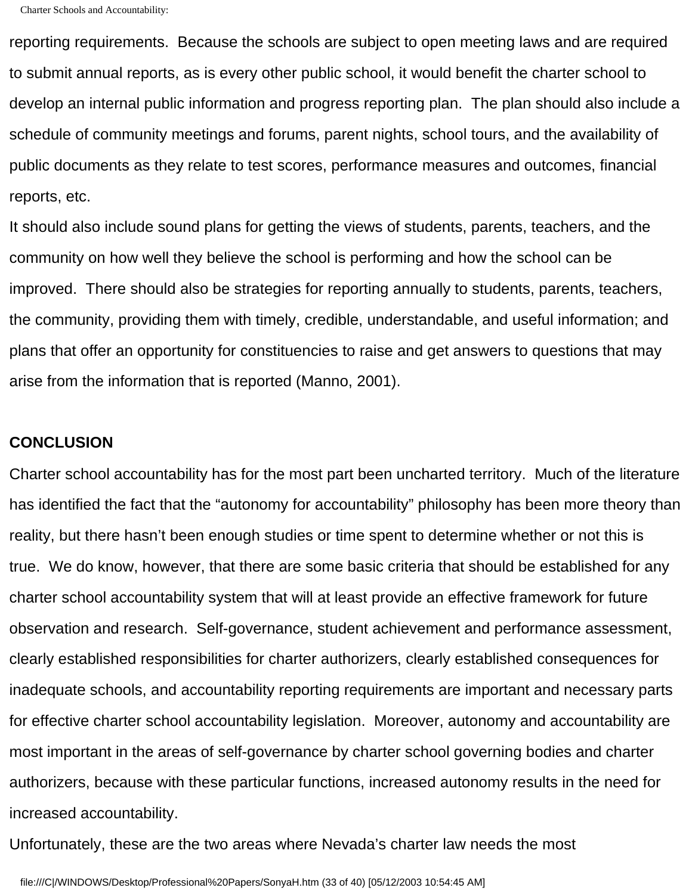reporting requirements. Because the schools are subject to open meeting laws and are required to submit annual reports, as is every other public school, it would benefit the charter school to develop an internal public information and progress reporting plan. The plan should also include a schedule of community meetings and forums, parent nights, school tours, and the availability of public documents as they relate to test scores, performance measures and outcomes, financial reports, etc.

It should also include sound plans for getting the views of students, parents, teachers, and the community on how well they believe the school is performing and how the school can be improved. There should also be strategies for reporting annually to students, parents, teachers, the community, providing them with timely, credible, understandable, and useful information; and plans that offer an opportunity for constituencies to raise and get answers to questions that may arise from the information that is reported (Manno, 2001).

#### **CONCLUSION**

Charter school accountability has for the most part been uncharted territory. Much of the literature has identified the fact that the "autonomy for accountability" philosophy has been more theory than reality, but there hasn't been enough studies or time spent to determine whether or not this is true. We do know, however, that there are some basic criteria that should be established for any charter school accountability system that will at least provide an effective framework for future observation and research. Self-governance, student achievement and performance assessment, clearly established responsibilities for charter authorizers, clearly established consequences for inadequate schools, and accountability reporting requirements are important and necessary parts for effective charter school accountability legislation. Moreover, autonomy and accountability are most important in the areas of self-governance by charter school governing bodies and charter authorizers, because with these particular functions, increased autonomy results in the need for increased accountability.

Unfortunately, these are the two areas where Nevada's charter law needs the most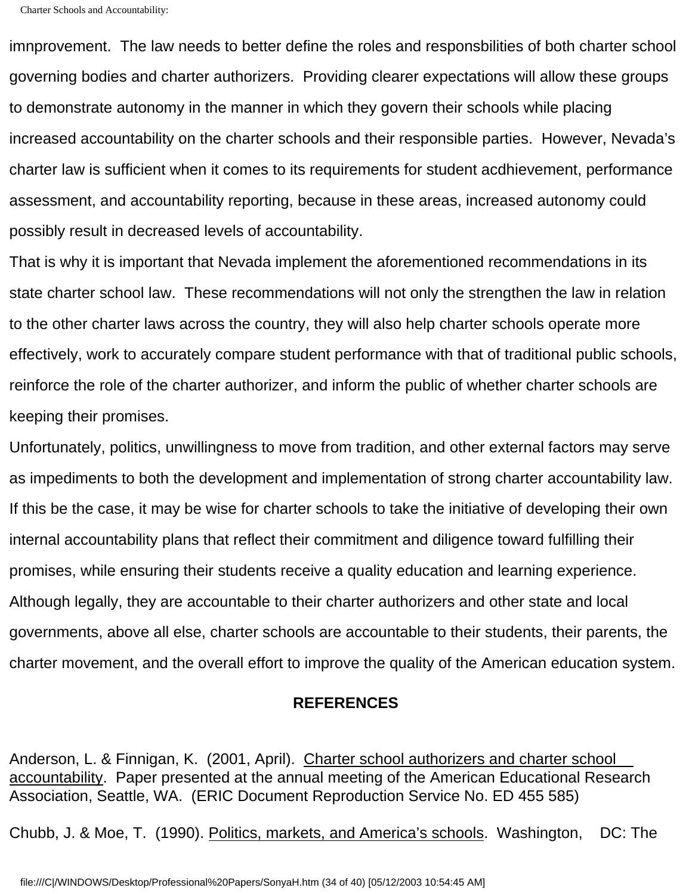imnprovement. The law needs to better define the roles and responsbilities of both charter school governing bodies and charter authorizers. Providing clearer expectations will allow these groups to demonstrate autonomy in the manner in which they govern their schools while placing increased accountability on the charter schools and their responsible parties. However, Nevada's charter law is sufficient when it comes to its requirements for student acdhievement, performance assessment, and accountability reporting, because in these areas, increased autonomy could possibly result in decreased levels of accountability.

That is why it is important that Nevada implement the aforementioned recommendations in its state charter school law. These recommendations will not only the strengthen the law in relation to the other charter laws across the country, they will also help charter schools operate more effectively, work to accurately compare student performance with that of traditional public schools, reinforce the role of the charter authorizer, and inform the public of whether charter schools are keeping their promises.

Unfortunately, politics, unwillingness to move from tradition, and other external factors may serve as impediments to both the development and implementation of strong charter accountability law. If this be the case, it may be wise for charter schools to take the initiative of developing their own internal accountability plans that reflect their commitment and diligence toward fulfilling their promises, while ensuring their students receive a quality education and learning experience. Although legally, they are accountable to their charter authorizers and other state and local governments, above all else, charter schools are accountable to their students, their parents, the charter movement, and the overall effort to improve the quality of the American education system.

#### **REFERENCES**

Anderson, L. & Finnigan, K. (2001, April). Charter school authorizers and charter school accountability. Paper presented at the annual meeting of the American Educational Research Association, Seattle, WA. (ERIC Document Reproduction Service No. ED 455 585)

Chubb, J. & Moe, T. (1990). Politics, markets, and America's schools. Washington, DC: The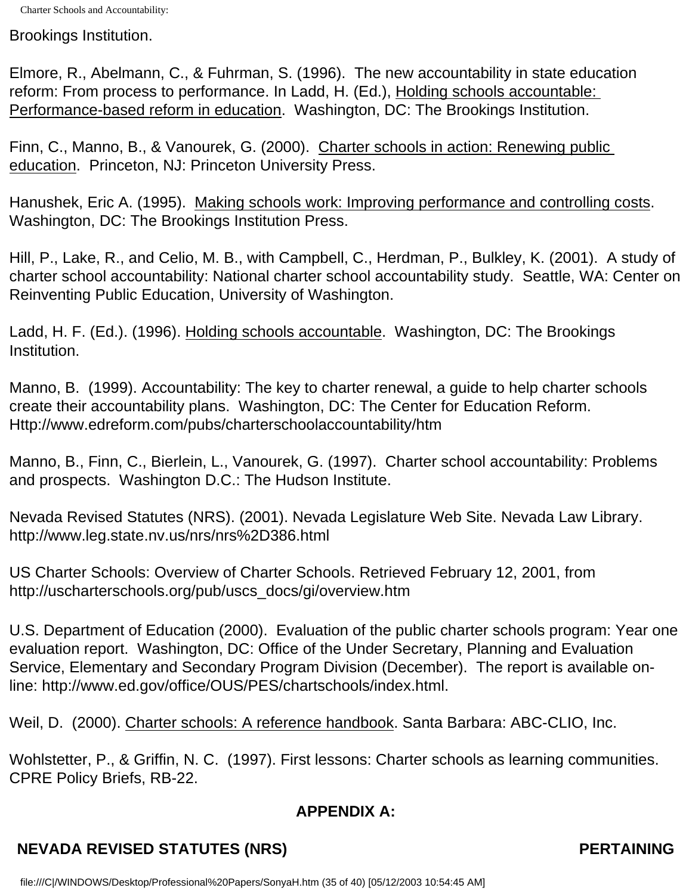Brookings Institution.

Elmore, R., Abelmann, C., & Fuhrman, S. (1996). The new accountability in state education reform: From process to performance. In Ladd, H. (Ed.), Holding schools accountable: Performance-based reform in education. Washington, DC: The Brookings Institution.

Finn, C., Manno, B., & Vanourek, G. (2000). Charter schools in action: Renewing public education. Princeton, NJ: Princeton University Press.

Hanushek, Eric A. (1995). Making schools work: Improving performance and controlling costs. Washington, DC: The Brookings Institution Press.

Hill, P., Lake, R., and Celio, M. B., with Campbell, C., Herdman, P., Bulkley, K. (2001). A study of charter school accountability: National charter school accountability study. Seattle, WA: Center on Reinventing Public Education, University of Washington.

Ladd, H. F. (Ed.). (1996). Holding schools accountable. Washington, DC: The Brookings Institution.

Manno, B. (1999). Accountability: The key to charter renewal, a guide to help charter schools create their accountability plans. Washington, DC: The Center for Education Reform. Http://www.edreform.com/pubs/charterschoolaccountability/htm

Manno, B., Finn, C., Bierlein, L., Vanourek, G. (1997). Charter school accountability: Problems and prospects. Washington D.C.: The Hudson Institute.

Nevada Revised Statutes (NRS). (2001). Nevada Legislature Web Site. Nevada Law Library. http://www.leg.state.nv.us/nrs/nrs%2D386.html

US Charter Schools: Overview of Charter Schools. Retrieved February 12, 2001, from [http://uscharterschools.org](http://uscharterschools.org/)/pub/uscs\_docs/gi/overview.htm

U.S. Department of Education (2000). Evaluation of the public charter schools program: Year one evaluation report. Washington, DC: Office of the Under Secretary, Planning and Evaluation Service, Elementary and Secondary Program Division (December). The report is available online: http://www.ed.gov/office/OUS/PES/chartschools/index.html.

Weil, D. (2000). Charter schools: A reference handbook. Santa Barbara: ABC-CLIO, Inc.

Wohlstetter, P., & Griffin, N. C. (1997). First lessons: Charter schools as learning communities. CPRE Policy Briefs, RB-22.

# **APPENDIX A:**

# **NEVADA REVISED STATUTES (NRS)** NEVADA REVISED STATUTES (NRS)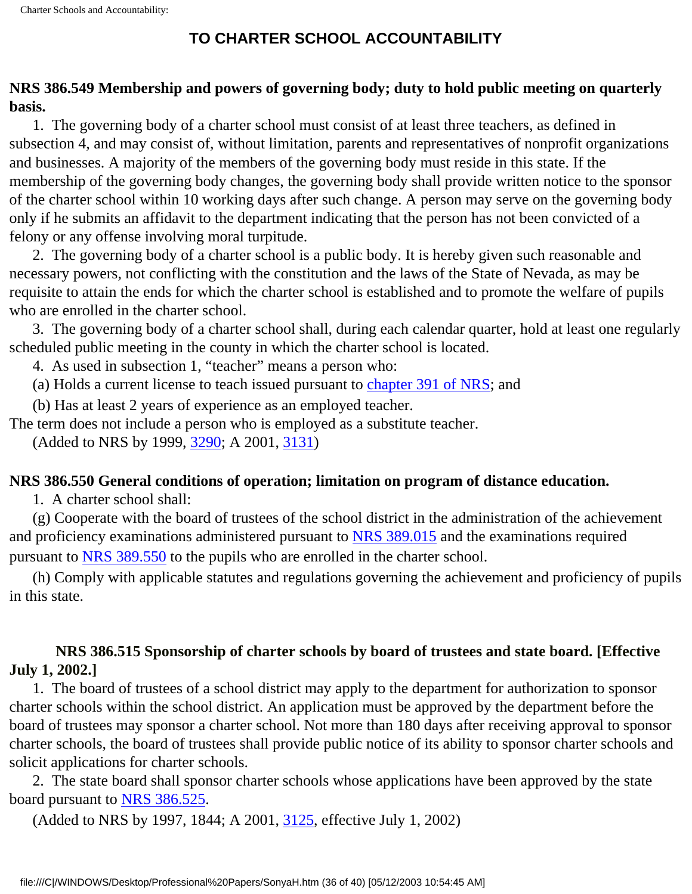# **TO CHARTER SCHOOL ACCOUNTABILITY**

# **NRS 386.549 Membership and powers of governing body; duty to hold public meeting on quarterly basis.**

 1. The governing body of a charter school must consist of at least three teachers, as defined in subsection 4, and may consist of, without limitation, parents and representatives of nonprofit organizations and businesses. A majority of the members of the governing body must reside in this state. If the membership of the governing body changes, the governing body shall provide written notice to the sponsor of the charter school within 10 working days after such change. A person may serve on the governing body only if he submits an affidavit to the department indicating that the person has not been convicted of a felony or any offense involving moral turpitude.

 2. The governing body of a charter school is a public body. It is hereby given such reasonable and necessary powers, not conflicting with the constitution and the laws of the State of Nevada, as may be requisite to attain the ends for which the charter school is established and to promote the welfare of pupils who are enrolled in the charter school.

 3. The governing body of a charter school shall, during each calendar quarter, hold at least one regularly scheduled public meeting in the county in which the charter school is located.

4. As used in subsection 1, "teacher" means a person who:

(a) Holds a current license to teach issued pursuant to [chapter 391 of NRS;](http://www.leg.state.nv.us/nrs/NRS-391.html#NRS391) and

(b) Has at least 2 years of experience as an employed teacher.

The term does not include a person who is employed as a substitute teacher.

(Added to NRS by 1999, [3290;](http://www.leg.state.nv.us/Statutes/70th/Stats199921.html#Stats199921page3290) A 2001, [3131\)](http://www.leg.state.nv.us/Statutes/71st/Stats200121.html#Stats200121page3131)

#### **NRS 386.550 General conditions of operation; limitation on program of distance education.**

1. A charter school shall:

 (g) Cooperate with the board of trustees of the school district in the administration of the achievement and proficiency examinations administered pursuant to [NRS 389.015](http://www.leg.state.nv.us/nrs/NRS-389.html#NRS389Sec015) and the examinations required pursuant to [NRS 389.550](http://www.leg.state.nv.us/nrs/NRS-389.html#NRS389Sec550) to the pupils who are enrolled in the charter school.

 (h) Comply with applicable statutes and regulations governing the achievement and proficiency of pupils in this state.

# **NRS 386.515 Sponsorship of charter schools by board of trustees and state board. [Effective July 1, 2002.]**

 1. The board of trustees of a school district may apply to the department for authorization to sponsor charter schools within the school district. An application must be approved by the department before the board of trustees may sponsor a charter school. Not more than 180 days after receiving approval to sponsor charter schools, the board of trustees shall provide public notice of its ability to sponsor charter schools and solicit applications for charter schools.

 2. The state board shall sponsor charter schools whose applications have been approved by the state board pursuant to [NRS 386.525.](http://www.leg.state.nv.us/nrs/NRS-386.html#NRS386Sec525)

(Added to NRS by 1997, 1844; A 2001, [3125,](http://www.leg.state.nv.us/Statutes/71st/Stats200121.html#Stats200121page3125) effective July 1, 2002)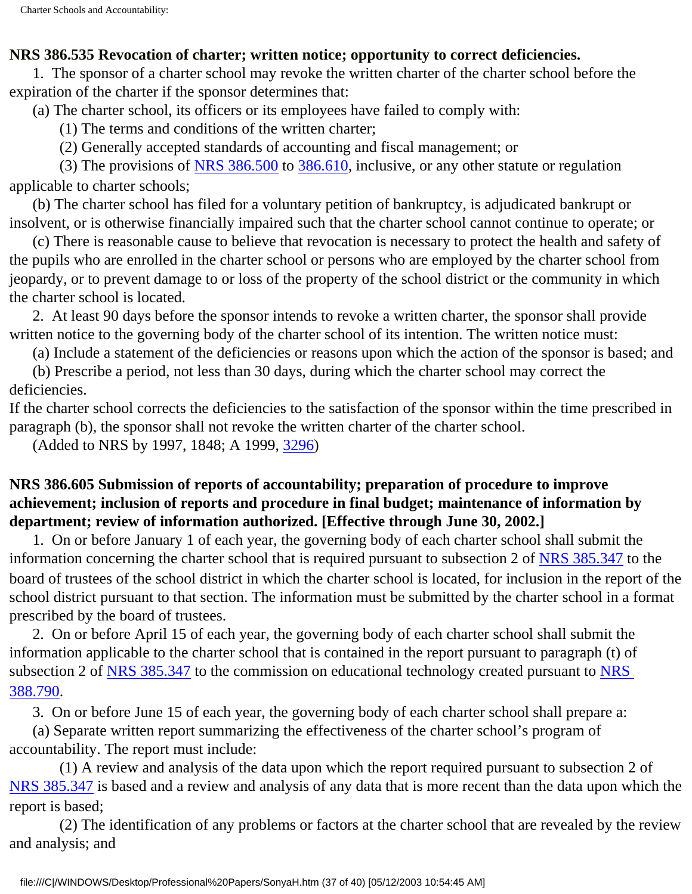#### **NRS 386.535 Revocation of charter; written notice; opportunity to correct deficiencies.**

 1. The sponsor of a charter school may revoke the written charter of the charter school before the expiration of the charter if the sponsor determines that:

(a) The charter school, its officers or its employees have failed to comply with:

(1) The terms and conditions of the written charter;

(2) Generally accepted standards of accounting and fiscal management; or

 (3) The provisions of [NRS 386.500](http://www.leg.state.nv.us/nrs/NRS-386.html#NRS386Sec500) to [386.610](http://www.leg.state.nv.us/nrs/NRS-386.html#NRS386Sec610), inclusive, or any other statute or regulation applicable to charter schools;

 (b) The charter school has filed for a voluntary petition of bankruptcy, is adjudicated bankrupt or insolvent, or is otherwise financially impaired such that the charter school cannot continue to operate; or

 (c) There is reasonable cause to believe that revocation is necessary to protect the health and safety of the pupils who are enrolled in the charter school or persons who are employed by the charter school from jeopardy, or to prevent damage to or loss of the property of the school district or the community in which the charter school is located.

 2. At least 90 days before the sponsor intends to revoke a written charter, the sponsor shall provide written notice to the governing body of the charter school of its intention. The written notice must:

(a) Include a statement of the deficiencies or reasons upon which the action of the sponsor is based; and

 (b) Prescribe a period, not less than 30 days, during which the charter school may correct the deficiencies.

If the charter school corrects the deficiencies to the satisfaction of the sponsor within the time prescribed in paragraph (b), the sponsor shall not revoke the written charter of the charter school.

(Added to NRS by 1997, 1848; A 1999, [3296\)](http://www.leg.state.nv.us/Statutes/70th/Stats199921.html#Stats199921page3296)

# **NRS 386.605 Submission of reports of accountability; preparation of procedure to improve achievement; inclusion of reports and procedure in final budget; maintenance of information by department; review of information authorized. [Effective through June 30, 2002.]**

 1. On or before January 1 of each year, the governing body of each charter school shall submit the information concerning the charter school that is required pursuant to subsection 2 of [NRS 385.347](http://www.leg.state.nv.us/nrs/NRS-385.html#NRS385Sec347) to the board of trustees of the school district in which the charter school is located, for inclusion in the report of the school district pursuant to that section. The information must be submitted by the charter school in a format prescribed by the board of trustees.

 2. On or before April 15 of each year, the governing body of each charter school shall submit the information applicable to the charter school that is contained in the report pursuant to paragraph (t) of subsection 2 of [NRS 385.347](http://www.leg.state.nv.us/nrs/NRS-385.html#NRS385Sec347) to the commission on educational technology created pursuant to NRS [388.790.](http://www.leg.state.nv.us/nrs/NRS-388.html#NRS388Sec790)

3. On or before June 15 of each year, the governing body of each charter school shall prepare a:

 (a) Separate written report summarizing the effectiveness of the charter school's program of accountability. The report must include:

 (1) A review and analysis of the data upon which the report required pursuant to subsection 2 of [NRS 385.347](http://www.leg.state.nv.us/nrs/NRS-385.html#NRS385Sec347) is based and a review and analysis of any data that is more recent than the data upon which the report is based;

 (2) The identification of any problems or factors at the charter school that are revealed by the review and analysis; and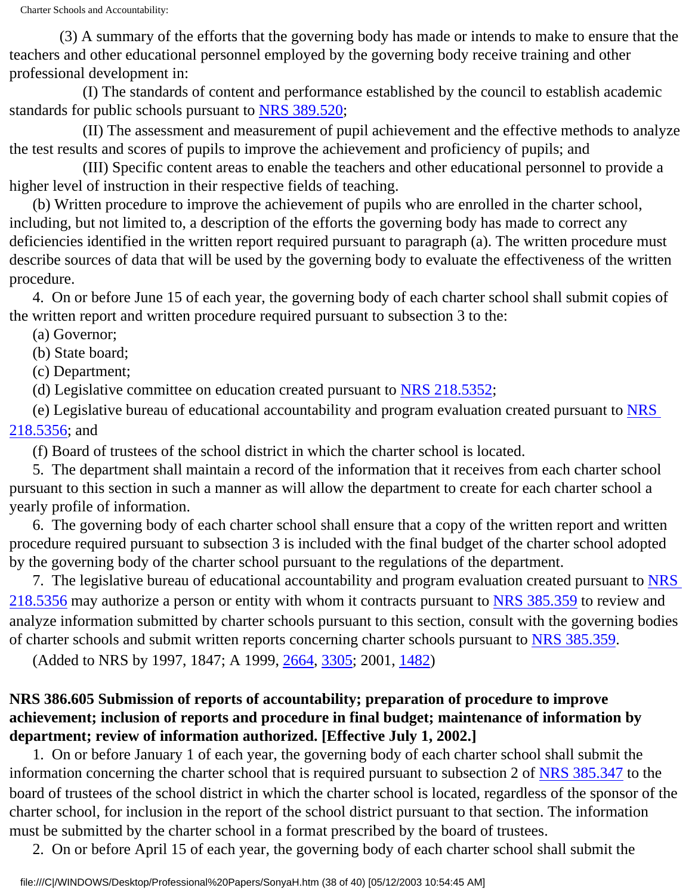(3) A summary of the efforts that the governing body has made or intends to make to ensure that the teachers and other educational personnel employed by the governing body receive training and other professional development in:

 (I) The standards of content and performance established by the council to establish academic standards for public schools pursuant to [NRS 389.520;](http://www.leg.state.nv.us/nrs/NRS-389.html#NRS389Sec520)

 (II) The assessment and measurement of pupil achievement and the effective methods to analyze the test results and scores of pupils to improve the achievement and proficiency of pupils; and

 (III) Specific content areas to enable the teachers and other educational personnel to provide a higher level of instruction in their respective fields of teaching.

 (b) Written procedure to improve the achievement of pupils who are enrolled in the charter school, including, but not limited to, a description of the efforts the governing body has made to correct any deficiencies identified in the written report required pursuant to paragraph (a). The written procedure must describe sources of data that will be used by the governing body to evaluate the effectiveness of the written procedure.

 4. On or before June 15 of each year, the governing body of each charter school shall submit copies of the written report and written procedure required pursuant to subsection 3 to the:

(a) Governor;

(b) State board;

(c) Department;

(d) Legislative committee on education created pursuant to [NRS 218.5352;](http://www.leg.state.nv.us/nrs/NRS-218.html#NRS218Sec5352)

 (e) Legislative bureau of educational accountability and program evaluation created pursuant to [NRS](http://www.leg.state.nv.us/nrs/NRS-218.html#NRS218Sec5356) [218.5356;](http://www.leg.state.nv.us/nrs/NRS-218.html#NRS218Sec5356) and

(f) Board of trustees of the school district in which the charter school is located.

 5. The department shall maintain a record of the information that it receives from each charter school pursuant to this section in such a manner as will allow the department to create for each charter school a yearly profile of information.

 6. The governing body of each charter school shall ensure that a copy of the written report and written procedure required pursuant to subsection 3 is included with the final budget of the charter school adopted by the governing body of the charter school pursuant to the regulations of the department.

7. The legislative bureau of educational accountability and program evaluation created pursuant to **[NRS](http://www.leg.state.nv.us/nrs/NRS-218.html#NRS218Sec5356)** [218.5356](http://www.leg.state.nv.us/nrs/NRS-218.html#NRS218Sec5356) may authorize a person or entity with whom it contracts pursuant to [NRS 385.359](http://www.leg.state.nv.us/nrs/NRS-385.html#NRS385Sec359) to review and analyze information submitted by charter schools pursuant to this section, consult with the governing bodies of charter schools and submit written reports concerning charter schools pursuant to [NRS 385.359](http://www.leg.state.nv.us/nrs/NRS-385.html#NRS385Sec359).

(Added to NRS by 1997, 1847; A 1999, [2664,](http://www.leg.state.nv.us/Statutes/70th/Stats199916.html#Stats199916page2664) [3305](http://www.leg.state.nv.us/Statutes/70th/Stats199921.html#Stats199921page3305); 2001, [1482\)](http://www.leg.state.nv.us/Statutes/71st/Stats200111.html#Stats200111page1482)

# **NRS 386.605 Submission of reports of accountability; preparation of procedure to improve achievement; inclusion of reports and procedure in final budget; maintenance of information by department; review of information authorized. [Effective July 1, 2002.]**

 1. On or before January 1 of each year, the governing body of each charter school shall submit the information concerning the charter school that is required pursuant to subsection 2 of [NRS 385.347](http://www.leg.state.nv.us/nrs/NRS-385.html#NRS385Sec347) to the board of trustees of the school district in which the charter school is located, regardless of the sponsor of the charter school, for inclusion in the report of the school district pursuant to that section. The information must be submitted by the charter school in a format prescribed by the board of trustees.

2. On or before April 15 of each year, the governing body of each charter school shall submit the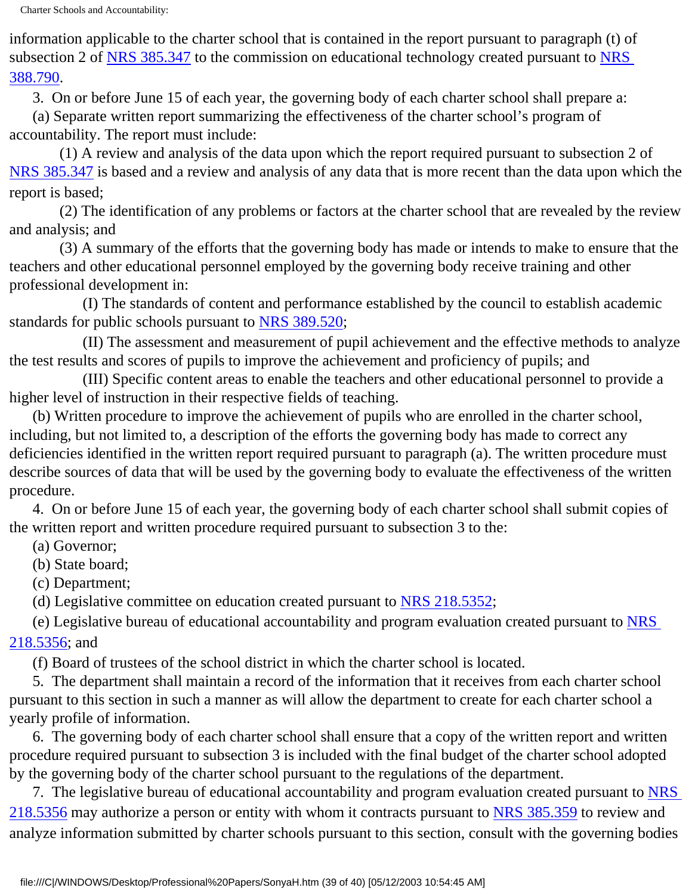information applicable to the charter school that is contained in the report pursuant to paragraph (t) of subsection 2 of [NRS 385.347](http://www.leg.state.nv.us/nrs/NRS-385.html#NRS385Sec347) to the commission on educational technology created pursuant to [NRS](http://www.leg.state.nv.us/nrs/NRS-388.html#NRS388Sec790)  [388.790.](http://www.leg.state.nv.us/nrs/NRS-388.html#NRS388Sec790)

3. On or before June 15 of each year, the governing body of each charter school shall prepare a:

 (a) Separate written report summarizing the effectiveness of the charter school's program of accountability. The report must include:

 (1) A review and analysis of the data upon which the report required pursuant to subsection 2 of [NRS 385.347](http://www.leg.state.nv.us/nrs/NRS-385.html#NRS385Sec347) is based and a review and analysis of any data that is more recent than the data upon which the report is based;

 (2) The identification of any problems or factors at the charter school that are revealed by the review and analysis; and

 (3) A summary of the efforts that the governing body has made or intends to make to ensure that the teachers and other educational personnel employed by the governing body receive training and other professional development in:

 (I) The standards of content and performance established by the council to establish academic standards for public schools pursuant to [NRS 389.520;](http://www.leg.state.nv.us/nrs/NRS-389.html#NRS389Sec520)

 (II) The assessment and measurement of pupil achievement and the effective methods to analyze the test results and scores of pupils to improve the achievement and proficiency of pupils; and

 (III) Specific content areas to enable the teachers and other educational personnel to provide a higher level of instruction in their respective fields of teaching.

 (b) Written procedure to improve the achievement of pupils who are enrolled in the charter school, including, but not limited to, a description of the efforts the governing body has made to correct any deficiencies identified in the written report required pursuant to paragraph (a). The written procedure must describe sources of data that will be used by the governing body to evaluate the effectiveness of the written procedure.

 4. On or before June 15 of each year, the governing body of each charter school shall submit copies of the written report and written procedure required pursuant to subsection 3 to the:

(a) Governor;

(b) State board;

(c) Department;

(d) Legislative committee on education created pursuant to [NRS 218.5352;](http://www.leg.state.nv.us/nrs/NRS-218.html#NRS218Sec5352)

 (e) Legislative bureau of educational accountability and program evaluation created pursuant to [NRS](http://www.leg.state.nv.us/nrs/NRS-218.html#NRS218Sec5356) [218.5356;](http://www.leg.state.nv.us/nrs/NRS-218.html#NRS218Sec5356) and

(f) Board of trustees of the school district in which the charter school is located.

 5. The department shall maintain a record of the information that it receives from each charter school pursuant to this section in such a manner as will allow the department to create for each charter school a yearly profile of information.

 6. The governing body of each charter school shall ensure that a copy of the written report and written procedure required pursuant to subsection 3 is included with the final budget of the charter school adopted by the governing body of the charter school pursuant to the regulations of the department.

7. The legislative bureau of educational accountability and program evaluation created pursuant to [NRS](http://www.leg.state.nv.us/nrs/NRS-218.html#NRS218Sec5356) [218.5356](http://www.leg.state.nv.us/nrs/NRS-218.html#NRS218Sec5356) may authorize a person or entity with whom it contracts pursuant to [NRS 385.359](http://www.leg.state.nv.us/nrs/NRS-385.html#NRS385Sec359) to review and analyze information submitted by charter schools pursuant to this section, consult with the governing bodies